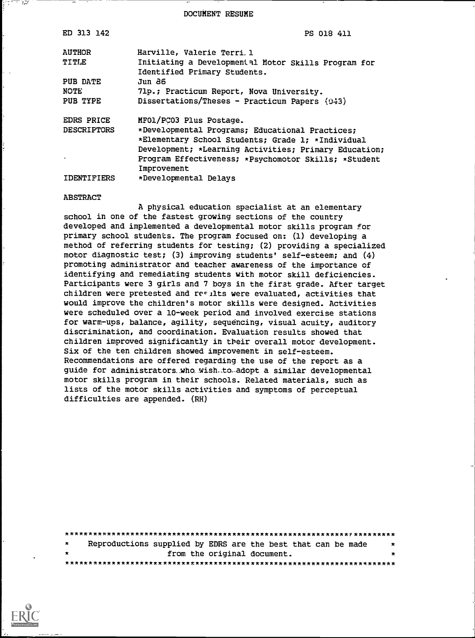DOCUMENT RESUME

| ED 313 142                              | PS 018 411                                                                                                        |
|-----------------------------------------|-------------------------------------------------------------------------------------------------------------------|
| <b>AUTHOR</b><br>TITLE                  | Harville, Valerie Terri. 1<br>Initiating a Developmental Motor Skills Program for<br>Identified Primary Students. |
| PUB DATE                                | Jun 86.                                                                                                           |
| NOTE                                    | 71p.; Practicum Report, Nova University.                                                                          |
| PUB TYPE                                | Dissertations/Theses - Practicum Papers (043)                                                                     |
| <b>EDRS PRICE</b><br><b>DESCRIPTORS</b> | MFOl/PCO3 Plus Postage.<br>*Developmental Programs; Educational Practices;                                        |
|                                         | *Elementary School Students; Grade 1; *Individual                                                                 |
|                                         | Development; *Learning Activities; Primary Education;                                                             |
|                                         | Program Effectiveness; *Psychomotor Skills; *Student<br>Improvement                                               |
| <b>IDENTIFIERS</b>                      | *Developmental Delays                                                                                             |
|                                         |                                                                                                                   |

#### ABSTRACT

್ರಸ

A physical education specialist at an elementary school in one of the fastest growing sections of the country developed and implemented a developmental motor skills program for primary school students. The program focused on: (1) developing a method of referring students for testing; (2) providing a specialized motor diagnostic test; (3) improving students' self-esteem; and (4) promoting administrator and teacher awareness of the importance of identifying and remediating students with motor skill deficiencies. Participants were 3 girls and 7 boys in the first grade. After target children were pretested and results were evaluated, activities that would improve the children's motor skills were designed. Activities were scheduled over a 10-week period and involved exercise stations for warm-ups, balance, agility, sequencing, visual acuity, auditory discrimination, and coordination. Evaluation results showed that children improved significantly in their overall motor development. Six of the ten children showed improvement in self-esteem. Recommendations are offered regarding the use of the report as a guide for administrators.. who. wish-to-adopt a similar developmental motor skills program in their schools. Related materials, such as lists of the motor skills activities and symptoms of perceptual difficulties are appended. (RH)

| $\star$ |  | Reproductions supplied by EDRS are the best that can be made | $\star$ |
|---------|--|--------------------------------------------------------------|---------|
| $\star$ |  | from the original document.                                  | ×       |
|         |  |                                                              |         |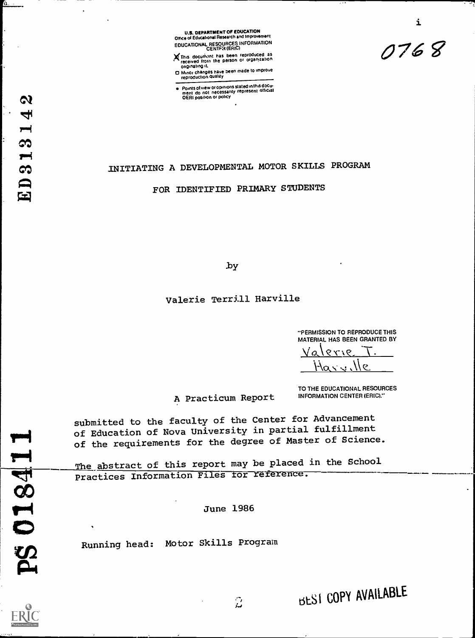

This document has been reproduced as<br>received from the person or organization<br>originating it.

O mmor changes have Peen made to improve reproduction duality

Points of view or opinions stated in this docu-<br>ment .do not .necessarily represent official OERI position or policy

# INITIATING A DEVELOPMENTAL MOTOR SKILLS PROGRAM

FOR IDENTIFIED PRIMARY STUDENTS

by

# Valerie Terrill Harville

"PERMISSION TO REPRODUCE THIS MATERIAL HAS BEEN GRANTED BY

0768

i

 $9179$ Val  $\frac{1}{\sqrt{2}}$ 

A Practicum Report

TO THE EDUCATIONAL RESOURCES INFORMATION CENTER (ERIC)."

submitted to the faculty of the Center for Advancement of Education of Nova University in partial fulfillment of the requirements for the degree of Master of Science.

The abstract of this report may be placed in the School Practices Information Files for reference.

June 1986

ن<br>مار

June 1986<br>
Running head: Motor Skills Program

 $\overline{\phantom{a}}$ 

 $\delta$ .

 $\overline{\phantom{a}}$ 

rug, 1..4  $\bullet$  $\overline{1}$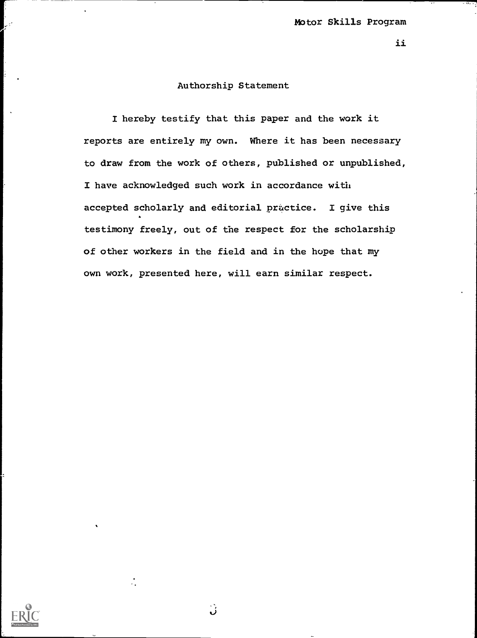ii

# Authorship Statement

I hereby testify that this paper and the work it reports are entirely my own. Where it has been necessary to draw from the work of others, published or unpublished, I have acknowledged such work in accordance with accepted scholarly and editorial practice. I give this testimony freely, out of the respect for the scholarship of other workers in the field and in the hope that my own work, presented here, will earn similar respect.



્ર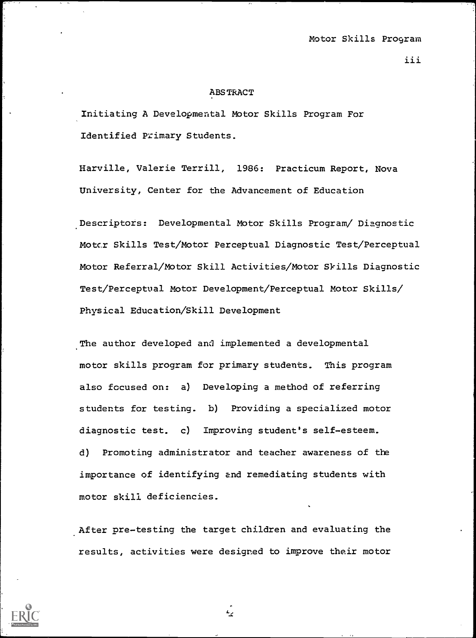iii

#### ABSTRACT

Initiating A Developmental Motor Skills Program For Identified Primary Students.

Harville, Valerie Terrill, 1986: Practicum Report, Nova University, Center for the Advancement of Education

Descriptors: Developmental Motor Skills Program/ Diagnostic Motor Skills Test/Motor Perceptual Diagnostic Test/Perceptual Motor Referral/Motor Skill Activities/Motor Skills Diagnostic Test/Perceptual Motor Development/Perceptual Motor Skills/ Physical Education/Skill Development

The author developed and implemented a developmental motor skills program for primary students. This program also focused on: a) Developing a method of referring students for testing. b) Providing a specialized motor diagnostic test. c) Improving student's self-esteem. d) Promoting administrator and teacher awareness of the importance of identifying and remediating students with motor skill deficiencies.

After pre-testing the target children and evaluating the results, activities were designed to improve their motor



بريم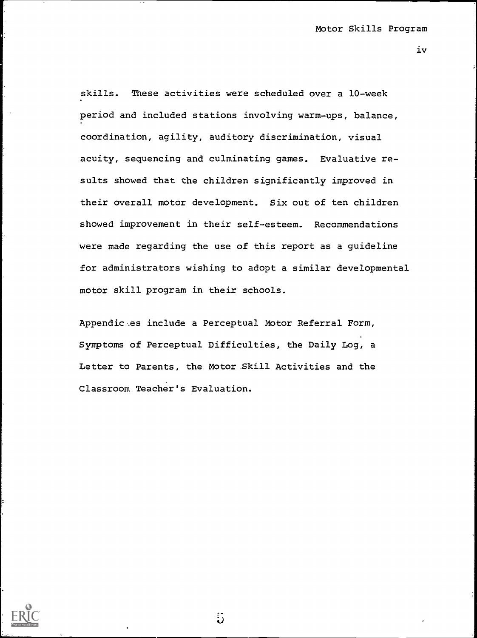iv

skills. These activities were scheduled over a 10-week period and included stations involving warm-ups, balance, coordination, agility, auditory discrimination, visual acuity, sequencing and culminating games. Evaluative results showed that the children significantly improved in their overall motor development. Six out of ten children showed improvement in their self-esteem. Recommendations were made regarding the use of this report as a guideline for administrators wishing to adopt a similar developmental motor skill program in their schools.

Appendic%es include a Perceptual Motor Referral Form, Symptoms of Perceptual Difficulties, the Daily Log, a Letter to Parents, the Motor Skill Activities and the Classroom Teacher's Evaluation.

 $5\overline{5}$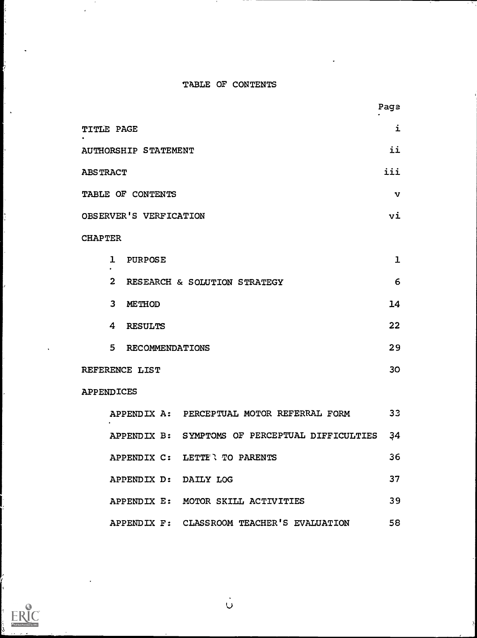# TABLE OF CONTENTS

|                                              | Page         |  |
|----------------------------------------------|--------------|--|
| TITLE PAGE                                   | i            |  |
| <b>AUTHORSHIP STATEMENT</b>                  | ii           |  |
| <b>ABSTRACT</b>                              | iii          |  |
| TABLE OF CONTENTS                            | $\mathbf{v}$ |  |
| OBSERVER'S VERFICATION                       | vi           |  |
| <b>CHAPTER</b>                               |              |  |
| $\mathbf{I}$<br><b>PURPOSE</b>               | $\mathbf{I}$ |  |
| $\mathbf{2}$<br>RESEARCH & SOLUTION STRATEGY | 6            |  |
| $\overline{3}$<br><b>METHOD</b>              | 14           |  |
| 4<br><b>RESULTS</b>                          | 22           |  |
| 5 <sup>1</sup><br>RECOMMENDATIONS            | 29           |  |
| REFERENCE LIST                               | 30           |  |

# APPENDICES

 $\overline{\phantom{a}}$ 

IJ

ļ.

 $\ddot{\phantom{1}}$ 

ļ.

 $\overline{\phantom{a}}$ 

þ ŀ.

ŀ.

þ.

þ.

| $\bullet$             | APPENDIX A: PERCEPTUAL MOTOR REFERRAL FORM         | 33 |
|-----------------------|----------------------------------------------------|----|
|                       | APPENDIX B: SYMPTOMS OF PERCEPTUAL DIFFICULTIES 34 |    |
|                       | APPENDIX C: LETTE'N TO PARENTS                     | 36 |
| APPENDIX D: DAILY LOG |                                                    | 37 |
|                       | APPENDIX E: MOTOR SKILL ACTIVITIES                 | 39 |
|                       | APPENDIX F: CLASSROOM TEACHER'S EVALUATION         | 58 |



 $\sum_{i=1}^{n}$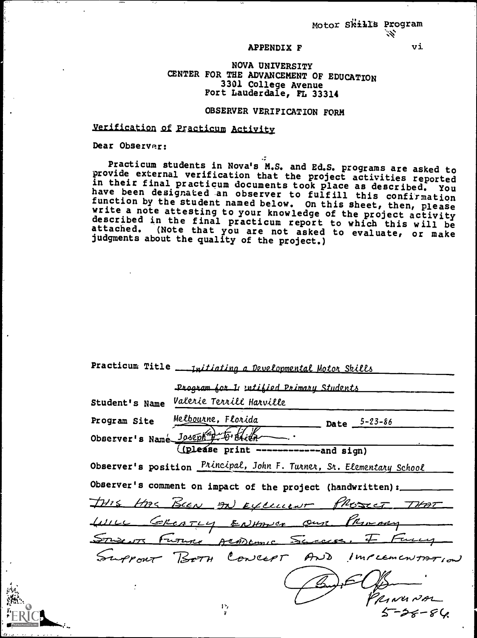#### APPENDIX F

#### NOVA UNIVERSITY CENTER FOR THE ADVANCEMENT OF EDUCATION 3301 College Avenue Fort Lauderdale, FL 33314

# OBSERVER VERIFICATION FORM

# Verification of Practicum Activity

Dear Observer:

Practicum students in Nova's M.S. and Ed.S. programs are asked to<br>provide external verification that the project activities reported<br>in their final practicum documents took place as described. You<br>have been designated an o write a note attesting to your knowledge of the project activity<br>described in the final practicum report to which this will be<br>attached. (Note that you are not asked to evaluate, or make<br>judgments about the quality of the

| Practicum Title |  |  | <u>- Initiating a Developmental Motor Skills</u> |  |  |  |
|-----------------|--|--|--------------------------------------------------|--|--|--|
|-----------------|--|--|--------------------------------------------------|--|--|--|

|                                              | Program for I utified Primary Students                                       |                    |                    |
|----------------------------------------------|------------------------------------------------------------------------------|--------------------|--------------------|
| Student's Name                               | Valerie Terrill Harville                                                     |                    |                    |
| Program Site                                 | Me <u>lbou</u> rne, Florida                                                  | Date $5 - 23 - 86$ |                    |
| Observer's Name Joseph <sup>4</sup> to Brith |                                                                              |                    |                    |
|                                              | (please print ------------and sign)                                          |                    |                    |
|                                              | Observer's position <i>Principal</i> , John F. Turner, Sr. Elementary School |                    |                    |
|                                              | Observer's comment on impact of the project (handwritten) :                  |                    |                    |
|                                              | THIS HAS BEEN AN EXCLUSIVE PROSECT THAT                                      |                    |                    |
|                                              | LUILL GREATLY ENHANCE Our PRIMARY                                            |                    |                    |
|                                              | STWEATS FUTURE ARADEMIC SELECCE.                                             |                    |                    |
|                                              | Support BOTH CONCEPT AND IMPLEMENTATION                                      |                    |                    |
|                                              |                                                                              |                    |                    |
|                                              | 15,                                                                          |                    | RINUNAL<br>5-56-86 |
|                                              |                                                                              |                    |                    |

vi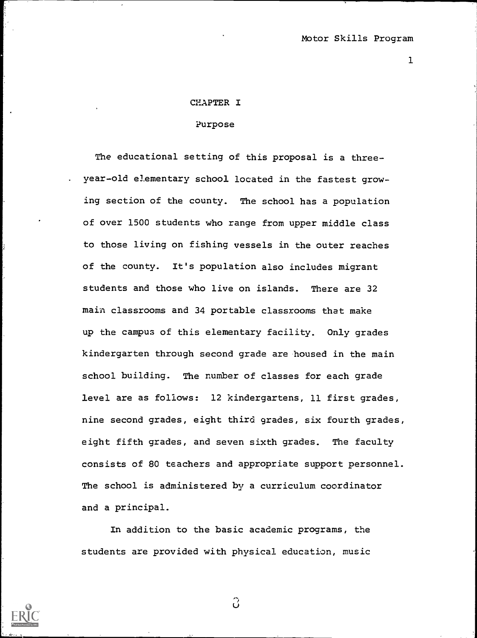#### CHAPTER I

## Purpose

The educational setting of this proposal is a three-. year-old elementary school located in the fastest growing section of the county. The school has a population of over 1500 students who range from upper middle class to those living on fishing vessels in the outer reaches of the county. It's population also includes migrant students and those who live on islands. There are 32 main classrooms and 34 portable classrooms that make up the campus of this elementary facility. Only grades kindergarten through second grade are housed in the main school building. The number of classes for each grade level are as follows: 12 kindergartens, 11 first grades, nine second grades, eight third grades, six fourth grades, eight fifth grades, and seven sixth grades. The faculty consists of 80 teachers and appropriate support personnel. The school is administered by a curriculum coordinator and a principal.

In addition to the basic academic programs, the students are provided with physical education, music



 $\hat{O}$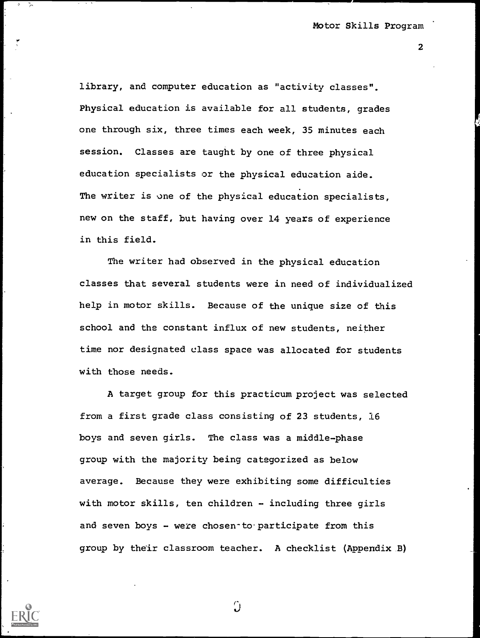library, and computer education as "activity classes". Physical education is available for all students, grades one through six, three times each week, 35 minutes each session. Classes are taught by one of three physical education specialists or the physical education aide. The writer is one of the physical education specialists, new on the staff, but having over 14 years of experience in this field.

The writer had observed in the physical education classes that several students were in need of individualized help in motor skills. Because of the unique size of this school and the constant influx of new students, neither time nor designated class space was allocated for students with those needs.

A target group for this practicum project was selected from a first grade class consisting of 23 students, 16 boys and seven girls. The class was a middle-phase group with the majority being categorized as below average. Because they were exhibiting some difficulties with motor skills, ten children - including three girls and seven boys  $-$  were chosen-to participate from this group by their classroom teacher. A checklist (Appendix B)

 $\Omega$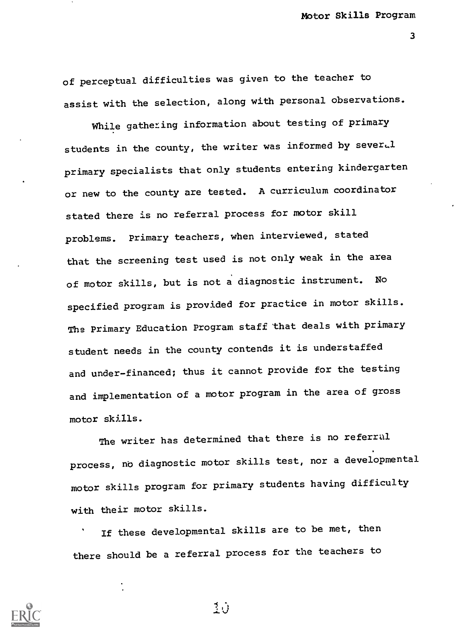of perceptual difficulties was given to the teacher to assist with the selection, along with personal observations.

While gathering information about testing of primary students in the county, the writer was informed by sever.l primary specialists that only students entering kindergarten or new to the county are tested. A curriculum coordinator stated there is no referral process for motor skill problems. Primary teachers, when interviewed, stated that the screening test used is not only weak in the area of motor skills, but is not a diagnostic instrument. No specified program is provided for practice in motor skills. The Primary Education Program staff that deals with primary student needs in the county contends it is understaffed and under-financed; thus it cannot provide for the testing and implementation of a motor program in the area of gross motor skills.

The writer has determined that there is no referral process, no diagnostic motor skills test, nor a developmental motor skills program for primary students having difficulty with their motor skills.

If these developmental skills are to be met, then there should be a referral process for the teachers to



玉心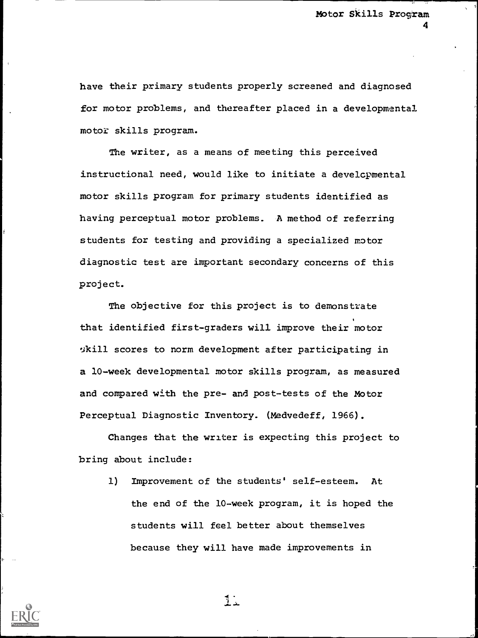have their primary students properly screened and diagnosed for motor problems, and thereafter placed in a developmental motor skills program.

The writer, as a means of meeting this perceived instructional need, would like to initiate a developmental motor skills program for primary students identified as having perceptual motor problems. A method of referring students for testing and providing a specialized motor diagnostic test are important secondary concerns of this project.

The objective for this project is to demonstrate that identified first-graders will improve their motor 3kill scores to norm development after participating in a 10-week developmental motor skills program, as measured and compared with the pre- and post-tests of the Motor Perceptual Diagnostic Inventory. (Medvedeff, 1966).

Changes that the writer is expecting this project to bring about include:

1) Improvement of the students' self-esteem. At the end of the 10-week program, it is hoped the students will feel better about themselves because they will have made improvements in

 $1.4$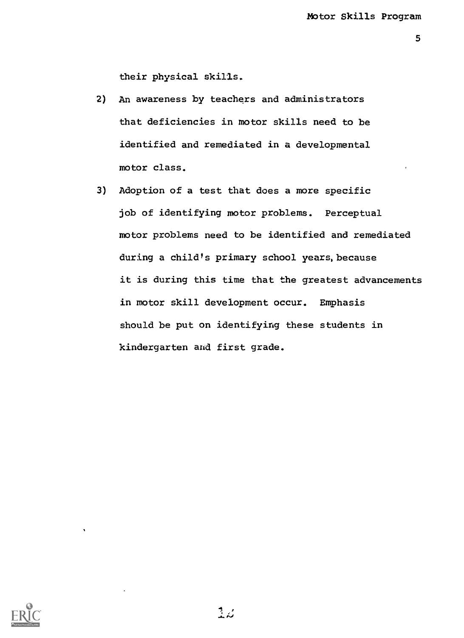their physical skills.

- 2) An awareness by teachers and administrators that deficiencies in motor skills need to be identified and remediated in a developmental motor class.
- 3) Adoption of a test that does a more specific job of identifying motor problems. Perceptual motor problems need to be identified and remediated during a child's primary school years, because it is during this time that the greatest advancements in motor skill development occur. Emphasis should be put on identifying these students in kindergarten and first grade.

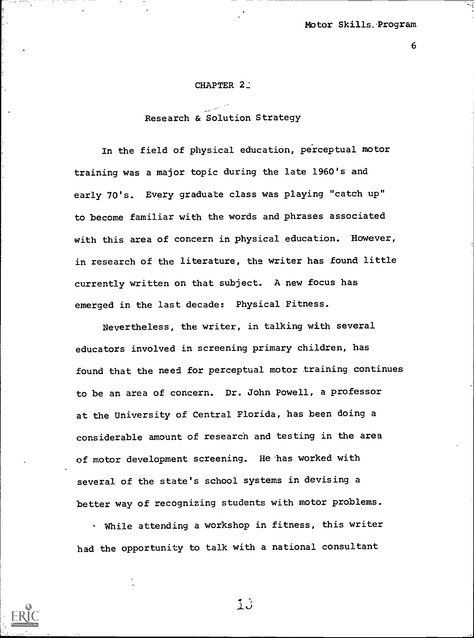#### CHAPTER 2:

# Research & Solution Strategy

In the field of physical education, perceptual motor training was a major topic during the late 1960's and early 70's. Every graduate class was playing "catch up" to become familiar with the words and phrases associated with this area of concern in physical education. However, in research of the literature, the writer has found little currently written on that subject. A new focus has emerged in the last decade: Physical Fitness.

Nevertheless, the writer, in talking with several educators involved in screening primary children, has found that the need for perceptual motor training continues to be an area of concern. Dr. John Powell, a professor at the University of Central Florida, has been doing a considerable amount of research and testing in the area of motor development screening. He has worked with several of the state's school systems in devising a better way of recognizing students with motor problems.

While attending a workshop in fitness, this writer had the opportunity to talk with a national consultant



13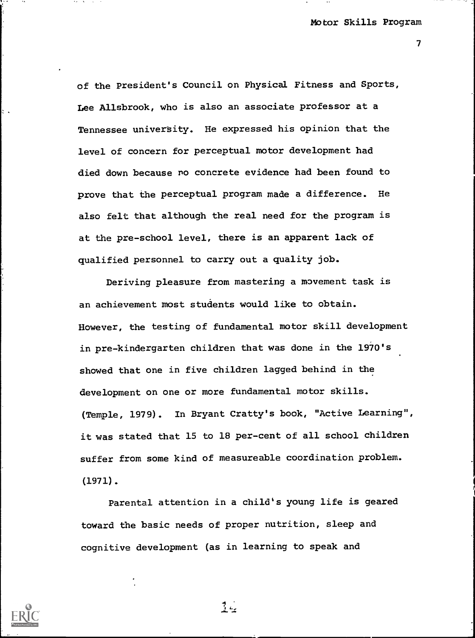of the President's Council on Physical Fitness and Sports, Lee Allsbrook, who is also an associate professor at a Tennessee university. He expressed his opinion that the level of concern for perceptual motor development had died down because no concrete evidence had been found to prove that the perceptual program made a difference. He also felt that although the real need for the program is at the pre-school level, there is an apparent lack of qualified personnel to carry out a quality job.

Deriving pleasure from mastering a movement task is an achievement most students would like to obtain. However, the testing of fundamental motor skill development in pre-kindergarten children that was done in the 1970's showed that one in five children lagged behind in the development on one or more fundamental motor skills. (Temple, 1979). In Bryant Cratty's book, "Active Learning", it was stated that 15 to 18 per-cent of all school children suffer from some kind of measureable coordination problem. (1971).

Parental attention in a child's young life is geared toward the basic needs of proper nutrition, sleep and cognitive development (as in learning to speak and



 $\frac{4}{3}$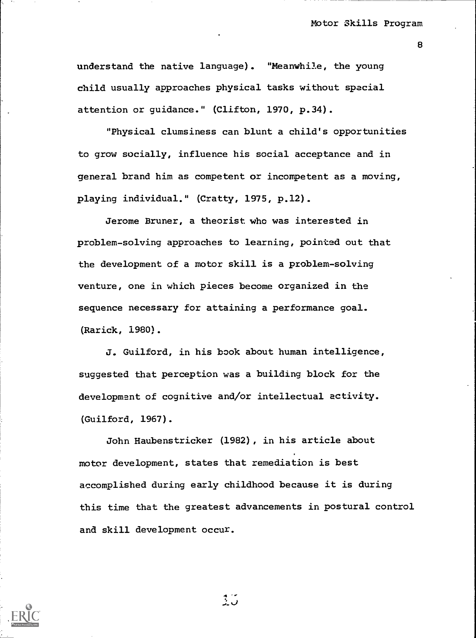understand the native language). "Meanwhile, the young child usually approaches physical tasks without spacial attention or guidance." (Clifton, 1970, p.34).

"Physical clumsiness can blunt a child's opportunities to grow socially, influence his social acceptance and in general brand him as competent or incompetent as a moving, playing individual." (Cratty, 1975, p.12).

Jerome Bruner, a theorist who was interested in problem-solving approaches to learning, pointed out that the development of a motor skill is a problem-solving venture, one in which pieces become organized in the sequence necessary for attaining a performance goal. (Rarick, 1980).

J. Guilford, in his book about human intelligence, suggested that perception was a building block for the development of cognitive and/or intellectual activity. (Guilford, 1967).

John Haubenstricker (1982), in his article about motor development, states that remediation is best accomplished during early childhood because it is during this time that the greatest advancements in postural control and skill development occur.

ر دي.<br>پ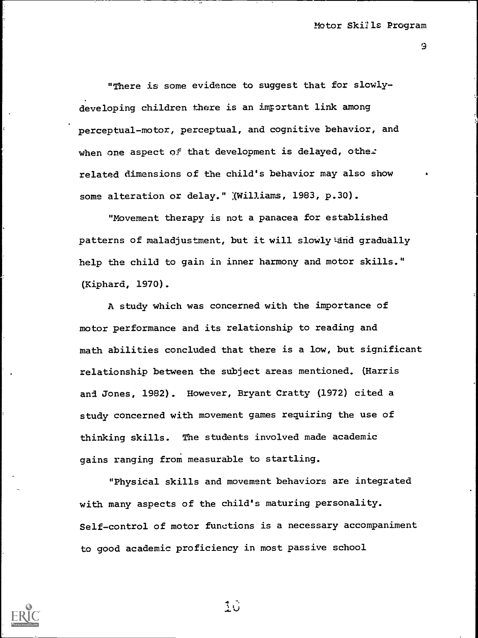"There is some evidence to suggest that for slowlydeveloping children there is an important link among perceptual-motor, perceptual, and cognitive behavior, and when one aspect of that development is delayed, other related dimensions of the child's behavior may also show some alteration or delay." (Williams, 1983, p.30).

"Movement therapy is not a panacea for established patterns of maladjustment, but it will slowly and gradually help the child to gain in inner harmony and motor skills." (Kiphard, 1970).

A study which was concerned with the importance of motor performance and its relationship to reading and math abilities concluded that there is a low, but significant relationship between the subject areas mentioned. (Harris and Jones, 1982). However, Bryant Cratty (1972) cited a study concerned with movement games requiring the use of thinking skills. The students involved made academic gains ranging from measurable to startling.

"Physical skills and movement behaviors are integrated with many aspects of the child's maturing personality. Self-control of motor functions is a necessary accompaniment to good academic proficiency in most passive school



 $3\,\mathrm{G}$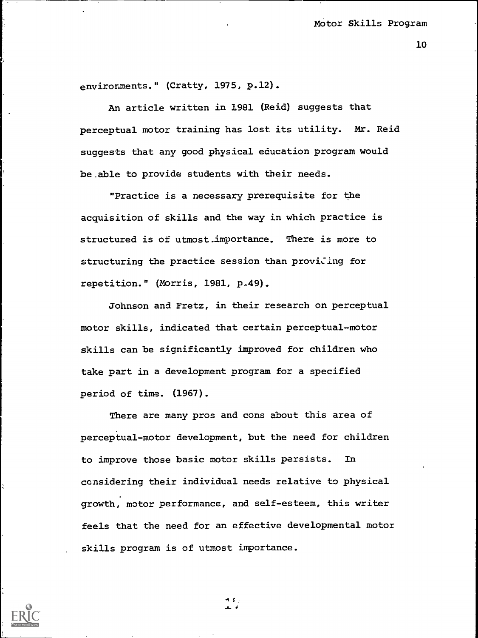environments." (Cratty, 1975, p.12).

An article written in 1981 (Reid) suggests that perceptual motor training has lost its utility. Mr. Reid suggests that any good physical education program would be.able to provide students with their needs.

"Practice is a necessary prerequisite for the acquisition of skills and the way in which practice is structured is of utmost\_importance. There is more to structuring the practice session than proviling for repetition." (Morris, 1981, p.49).

Johnson and Fretz, in their research on perceptual motor skills, indicated that certain perceptual-motor skills can be significantly improved for children who take part in a development program for a specified period of time. (1967).

There are many pros and cons about this area of perceptual-motor development, but the need for children to improve those basic motor skills persists. In considering their individual needs relative to physical growth, motor performance, and self-esteem, this writer feels that the need for an effective developmental motor skills program is of utmost importance.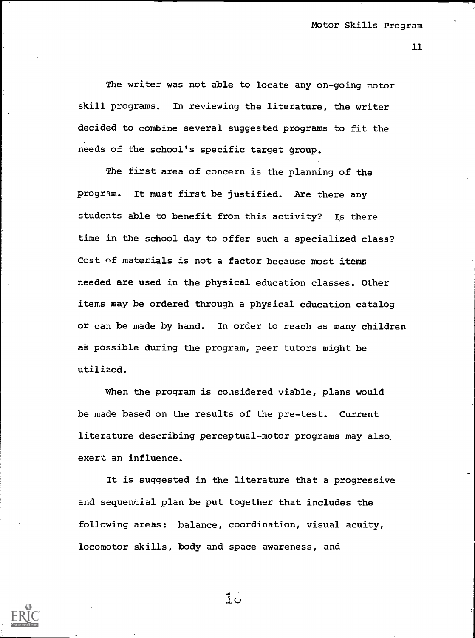The writer was not able to locate any on-going motor skill programs. In reviewing the literature, the writer decided to combine several suggested programs to fit the needs of the school's specific target group.

The first area of concern is the planning of the program. It must first be justified. Are there any students able to benefit from this activity? Is there time in the school day to offer such a specialized class? Cost of materials is not a factor because most items needed are used in the physical education classes. Other items may be ordered through a physical education catalog or can be made by hand. In order to reach as many children as possible during the program, peer tutors might be utilized.

When the program is considered viable, plans would be made based on the results of the pre-test. Current literature describing perceptual-motor programs may also, exert an influence.

It is suggested in the literature that a progressive and sequential plan be put together that includes the following areas: balance, coordination, visual acuity, locomotor skills, body and space awareness, and

 $10$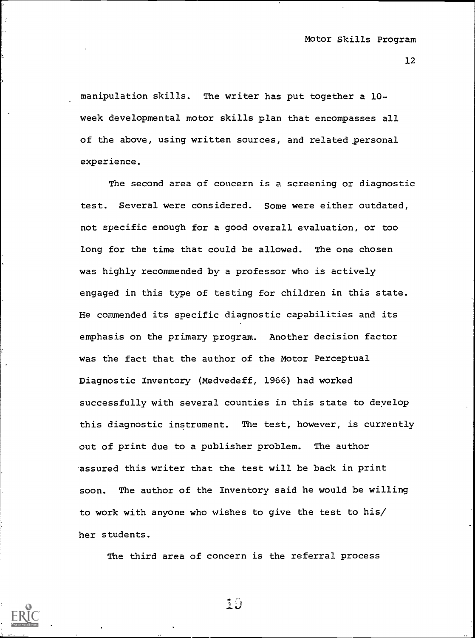manipulation skills. The writer has put together a 10 week developmental motor skills plan that encompasses all of the above, using written sources, and related personal experience.

The second area of concern is a screening or diagnostic test. Several were considered. Some were either outdated, not specific enough for a good overall evaluation, or too long for the time that could be allowed. The one chosen was highly recommended by a professor who is actively engaged in this type of testing for children in this state. He commended its specific diagnostic capabilities and its emphasis on the primary program. Another decision factor was the fact that the author of the Motor Perceptual Diagnostic Inventory (Medvedeff, 1966) had worked successfully with several counties in this state to deyelop this diagnostic instrument. The test, however, is currently out of print due to a publisher problem. The author assured this writer that the test will be back in print soon. The author of the Inventory said he would be willing to work with anyone who wishes to give the test to his/ her students.

The third area of concern is the referral process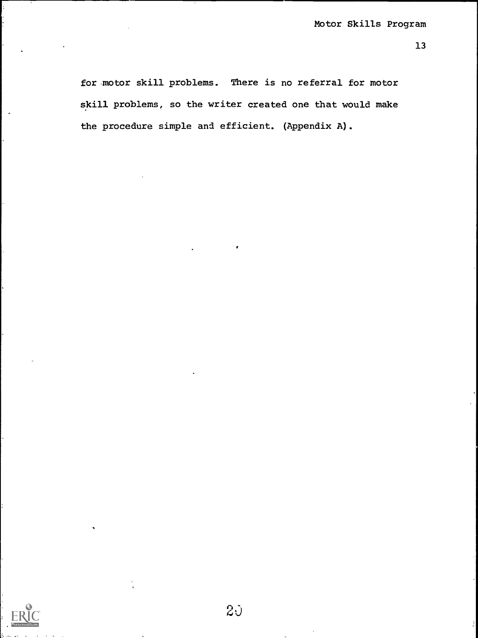for motor skill problems. There is no referral for motor skill problems, so the writer created one that would make the procedure simple and efficient. (Appendix A).



 $2\mathcal{Y}$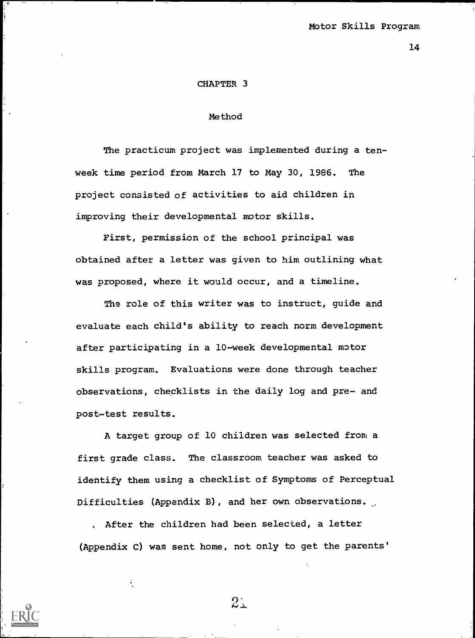#### CHAPTER 3

#### Method

The practicum project was implemented during a tenweek time period from March 17 to May 30, 1986. The project consisted of activities to aid children in improving their developmental motor skills.

First, permission of the school principal was obtained after a letter was given to him outlining what was proposed, where it would occur, and a timeline.

The role of this writer was to instruct, quide and evaluate each child's ability to reach norm development after participating in a 10-week developmental motor skills program. Evaluations were done through teacher observations, checklists in the daily log and pre- and post-test results.

A target group of 10 children was selected from a first grade class. The classroom teacher was asked to identify them using a checklist of Symptoms of Perceptual Difficulties (Appendix B), and her own observations.

After the children had been selected, a letter (Appendix C) was sent home, not only to get the parents'



 $2.1$ 

÷,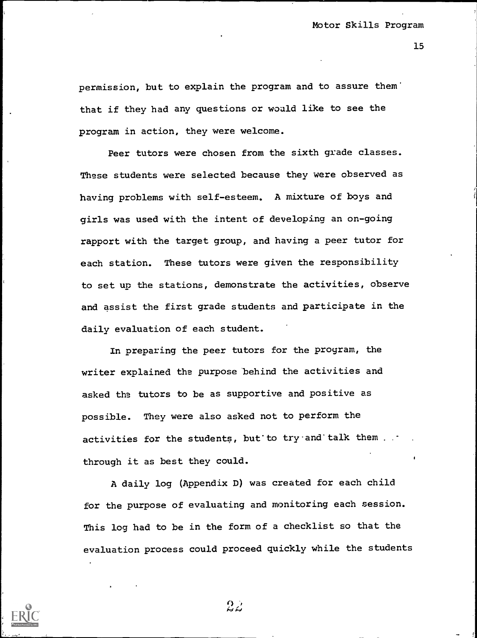permission, but to explain the program and to assure them' that if they had any questions or would like to see the program in action, they were welcome.

Peer tutors were chosen from the sixth grade classes. These students were selected because they were observed as having problems with self-esteem. A mixture of boys and girls was used with the intent of developing an on-going rapport with the target group, and having a peer tutor for each station. These tutors were given the responsibility to set up the stations, demonstrate the activities, observe and assist the first grade students and participate in the daily evaluation of each student.

In preparing the peer tutors for the program, the writer explained the purpose behind the activities and asked the tutors to be as supportive and positive as possible. They were also asked not to perform the activities for the students, but to try and talk them . . through it as best they could.

A daily log (Appendix D) was created for each child for the purpose of evaluating and monitoring each session. This log had to be in the form of a checklist so that the evaluation process could proceed quickly while the students

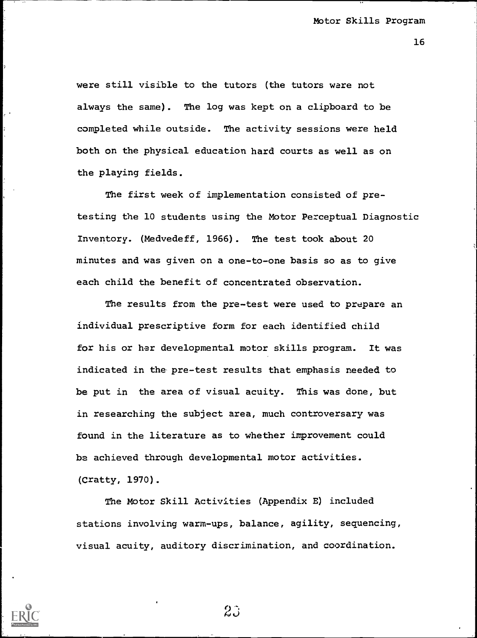16

were still visible to the tutors (the tutors ware not always the same). The log was kept on a clipboard to be completed while outside. The activity sessions were held both on the physical education hard courts as well as on the playing fields.

The first week of implementation consisted of pretesting the 10 students using the Motor Perceptual Diagnostic Inventory. (Medvedeff, 1966). The test took about 20 minutes and was given on a one-to-one basis so as to give each child the benefit of concentrated observation.

The results from the pre-test were used to prepare an individual prescriptive form for each identified child for his or her developmental motor skills program. It was indicated in the pre-test results that emphasis needed to be put in the area of visual acuity. This was done, but in researching the subject area, much controversary was found in the literature as to whether improvement could be achieved through developmental motor activities. (Cratty, 1970).

The Motor Skill Activities (Appendix E) included stations involving warm-ups, balance, agility, sequencing, visual acuity, auditory discrimination, and coordination.



9

 $2\tilde{J}$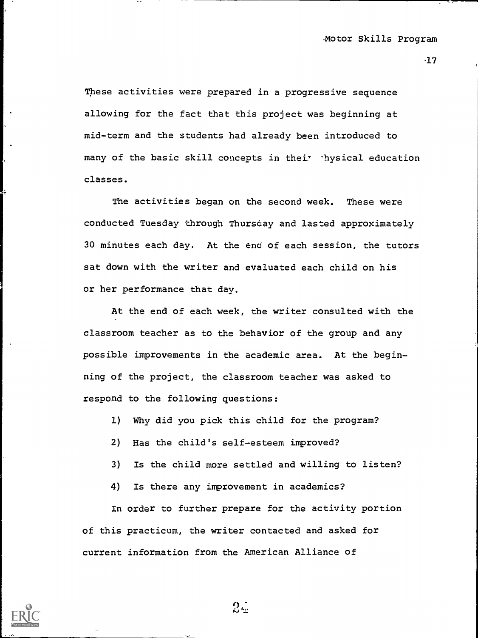$\cdot$ 17

These activities were prepared in a progressive sequence allowing for the fact that this project was beginning at mid-term and the students had already been introduced to many of the basic skill concepts in their .hysical education classes.

The activities began on the second week. These were conducted Tuesday through Thursday and lasted approximately 30 minutes each day. At the end of each session, the tutors sat down with the writer and evaluated each child on his or her performance that day.

At the end of each week, the writer consulted with the classroom teacher as to the behavior of the group and any possible improvements in the academic area. At the beginning of the project, the classroom teacher was asked to respond to the following questions:

- 1) Why did you pick this child for the program?
- 2) Has the child's self-esteem improved?
- 3) Is the child more settled and willing to listen?
- 4) Is there any improvement in academics?

In order to further prepare for the activity portion of this practicum, the writer contacted and asked for current information from the American Alliance of



 $2\mathbb{Z}$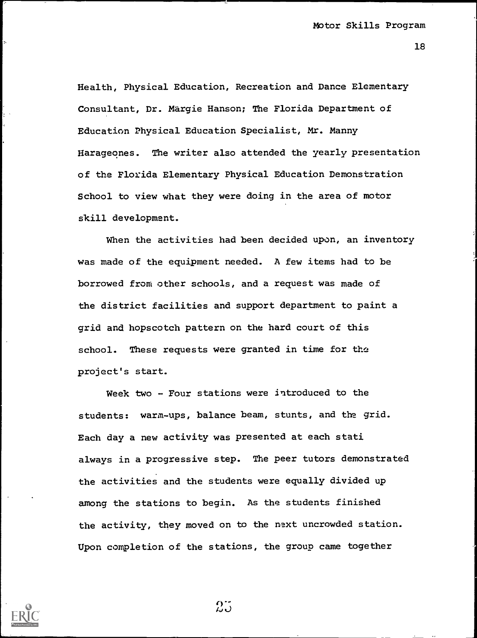Health, Physical Education, Recreation and Dance Elementary Consultant, Dr. Margie Hanson; The Florida Department of Education Physical Education Specialist, Mr. Manny Harageones. The writer also attended the yearly presentation of the Florida Elementary Physical Education Demonstration School to view what they were doing in the area of motor skill development.

When the activities had been decided upon, an inventory was made of the equipment needed. A few items had to be borrowed from other schools, and a request was made of the district facilities and support department to paint a grid and hopscotch pattern on the hard court of this school. These requests were granted in time for the project's start.

Week two - Four stations were introduced to the students: warm-ups, balance beam, stunts, and the grid. Each day a new activity was presented at each stati always in a progressive step. The peer tutors demonstrated the activities and the students were equally divided up among the stations to begin. As the students finished the activity, they moved on to the next uncrowded station. Upon completion of the stations, the group came together



 $\stackrel{\leftrightarrow}{\hbar}$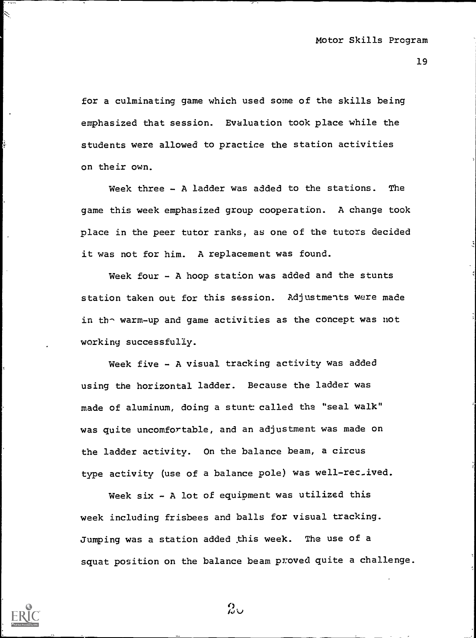for a culminating game which used some of the skills being emphasized that session. Evaluation took place while the students were allowed to practice the station activities on their own.

Week three - A ladder was added to the stations. The game this week emphasized group cooperation. A change took place in the peer tutor ranks, as one of the tutors decided it was not for him. A replacement was found.

Week four - A hoop station was added and the stunts station taken out for this session. Adjustments were made in tho warm-up and game activities as the concept was not working successfully.

Week five - A visual tracking activity was added using the horizontal ladder. Because the ladder was made of aluminum, doing a stunt called the "seal walk" was quite uncomfortable, and an adjustment was made on the ladder activity. On the balance beam, a circus type activity (use of a balance pole) was well-rec\_ived.

Week  $six - A$  lot of equipment was utilized this week including frisbees and balls for visual tracking. Jumping was a station added this week. The use of a squat position on the balance beam proved quite a challenge.



╲

 $20$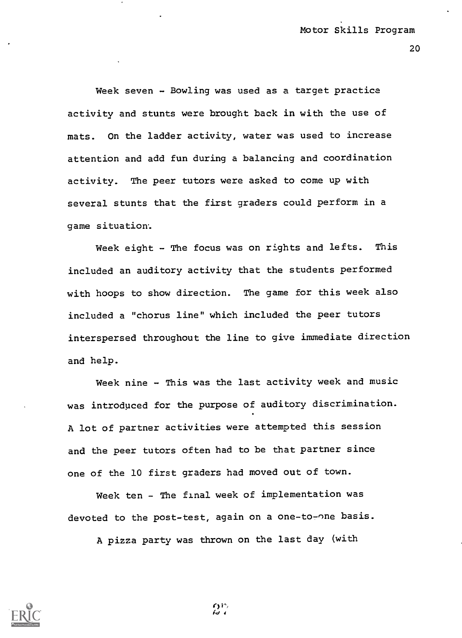Week seven - Bowling was used as a target practice activity and stunts were brought back in with the use of mats. On the ladder activity, water was used to increase attention and add fun during a balancing and coordination activity. The peer tutors were asked to come up with several stunts that the first graders could perform in a game situation.

Week eight - The focus was on rights and lefts. This included an auditory activity that the students performed with hoops to show direction. The game for this week also included a "chorus line" which included the peer tutors interspersed throughout the line to give immediate direction and help.

Week nine - This was the last activity week and music was introduced for the purpose of auditory discrimination. A lot of partner activities were attempted this session and the peer tutors often had to be that partner since one of the 10 first graders had moved out of town.

Week ten - The final week of implementation was devoted to the post-test, again on a one-to-one basis.

A pizza party was thrown on the last day (with

 $\Omega^{\nu}$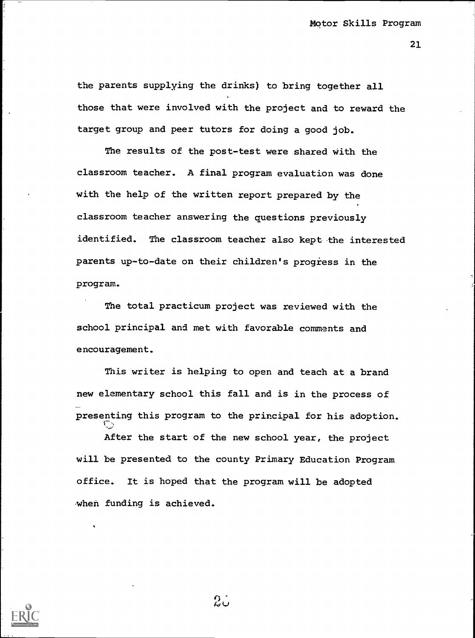the parents supplying the drinks) to bring together all those that were involved with the project and to reward the target group and peer tutors for doing a good job.

The results of the post-test were shared with the classroom teacher. A final program evaluation was done with the help of the written report prepared by the classroom teacher answering the questions previously identified. The classroom teacher also kept the interested parents up-to-date on their children's progress in the program.

The total practicum project was reviewed with the school principal and met with favorable comments and encouragement.

This writer is helping to open and teach at a brand new elementary school this fall and is in the process of presenting this program to the principal for his adoption.

After the start of the new school year, the project will be presented to the county Primary Education Program office. It is hoped that the program will be adopted when funding is achieved.

က္သံု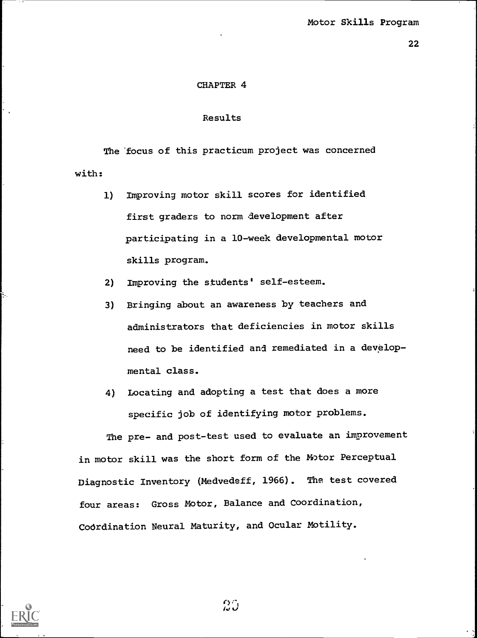## CHAPTER 4

# Results

The focus of this practicum project was concerned with:

- 1) Improving motor skill scores for identified first graders to norm development after participating in a 10-week developmental motor skills program.
- 2) Improving the students' self-esteem.
- 3) Bringing about an awareness by teachers and administrators that deficiencies in motor skills need to be identified and remediated in a developmental class.
- 4) Locating and adopting a test that does a more specific job of identifying motor problems.

The pre- and post-test used to evaluate an improvement in motor skill was the short form of the Motor Perceptual Diagnostic Inventory (Medvedeff, 1966). The test covered four areas: Gross Motor, Balance and Coordination, CoOrdination Neural Maturity, and Ocular Motility.

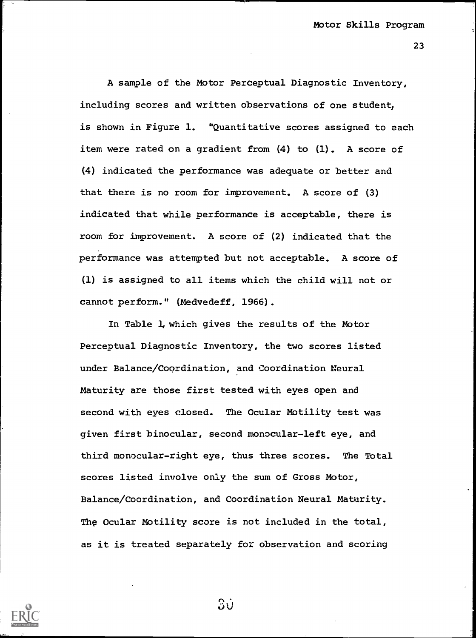A sample of the Motor Perceptual Diagnostic Inventory, including scores and written observations of one student: is shown in Figure 1. "Quantitative scores assigned to each item were rated on a gradient from (4) to (1). A score of (4) indicated the performance was adequate or better and that there is no room for improvement. A score of (3) indicated that while performance is acceptable, there is room for improvement. A score of (2) indicated that the performance was attempted but not acceptable. A score of (1) is assigned to all items which the child will not or cannot perform." (Medvedeff, 1966).

In Table 1, which gives the results of the Motor Perceptual Diagnostic Inventory, the two scores listed under Balance/Coprdination, and Coordination Neural Maturity are those first tested with eyes open and second with eyes closed. The Ocular Motility test was given first binocular, second monocular-left eye, and third monocular-right eye, thus three scores. The Total scores listed involve only the sum of Gross Motor, Balance/Coordination, and Coordination Neural Maturity. The Ocular Motility score is not included in the total, as it is treated separately for observation and scoring



ЗŪ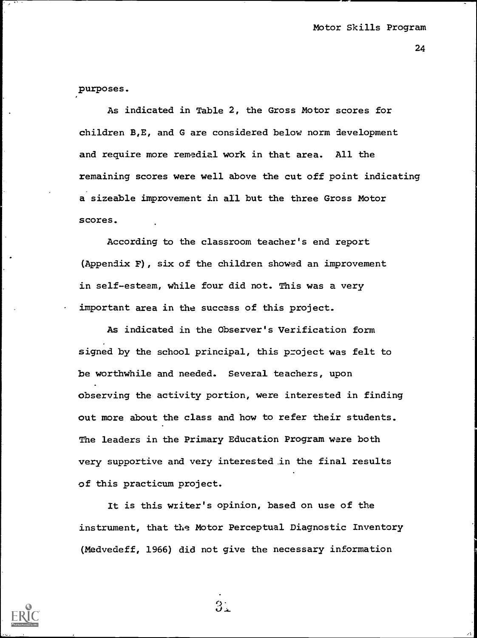purposes.

As indicated in Table 2, the Gross Motor scores for children B,E, and G are considered below norm development and require more remedial work in that area. All the remaining scores were well above the cut off point indicating a sizeable improvement in all but the three Gross Motor scores.

According to the classroom teacher's end report (Appendix F), six of the children showed an improvement in self-esteem, while four did not. This was a very important area in the success of this project.

As indicated in the Observer's Verification form signed by the school principal, this project was felt to be worthwhile and needed. Several teachers, upon observing the activity portion, were interested in finding out more about the class and how to refer their students. The leaders in the Primary Education Program ware both very supportive and very interested in the final results of this practicum project.

It is this writer's opinion, based on use of the instrument, that the Motor Perceptual Diagnostic Inventory (Medvedeff, 1966) did not give the necessary information

 $3.$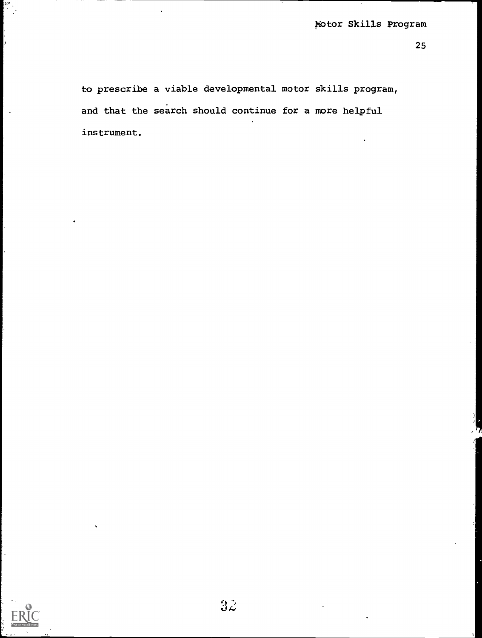to prescribe a viable developmental motor skills program, and that the search should continue for a more helpful instrument.

 $\ddot{\phantom{a}}$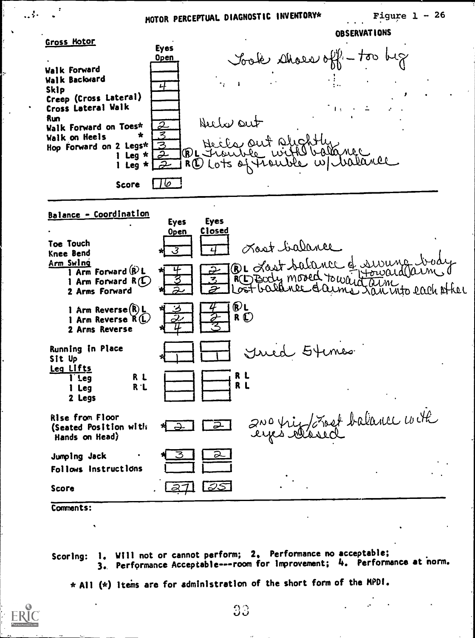# MOTOR PERCEPTUAL DIAGNOSTIC INVENTORY\*

 $\alpha$ 



(Seated Position with Hands on Head) Jumping Jack Follows Instructions <u>in III de la provincia de la provincia de la provincia de la provincia de la provincia de la provincia de la p</u><br>Institución de la provincia de la provincia de la provincia de la provincia de la provincia de la provincia d  $\overline{2}$  and this comment ballence comment

Score

. . . .

Comments:

Scoring: 1. Will not or cannot perform; 2. Performance no acceptable; 3.. Performance Acceptable---room for improvement; 4. Performance at norm.

\* Al! (\*) items are for administration of the short form of the MPDI.

<u>रूट</u><br>10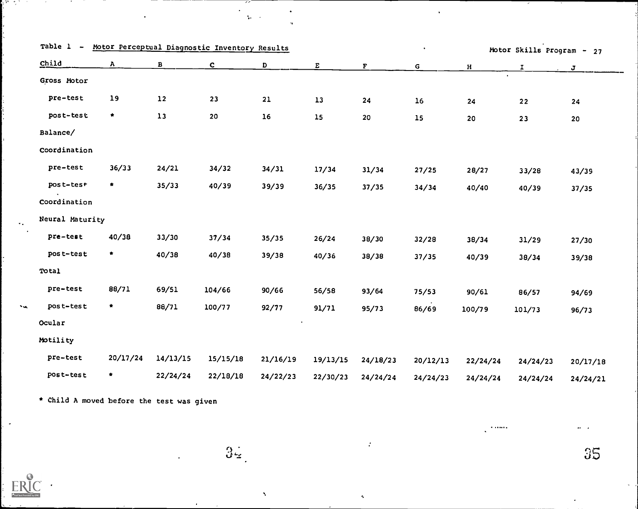|              |                 |              |          | $\bullet$                                     |            |             |                 |              |                           |
|--------------|-----------------|--------------|----------|-----------------------------------------------|------------|-------------|-----------------|--------------|---------------------------|
| $\mathbf{A}$ | $\mathbf{B}$    | $\mathbf{c}$ | D        | E                                             | ${\bf F}$  | $\mathsf G$ | $\, {\bf H} \,$ | $\mathbf{I}$ | $\mathbf{J}$              |
|              |                 |              |          |                                               |            |             |                 |              |                           |
| 19           | $12\,$          | 23           | 21       | $13\,$                                        | 24         | 16          | 24              | 22           | 24                        |
| $\star$      | $13$            | ${\bf 20}$   | $16$     | $15$                                          | ${\bf 20}$ | 15          | 20              | 23           | 20                        |
|              |                 |              |          |                                               |            |             |                 |              |                           |
|              |                 |              |          |                                               |            |             |                 |              |                           |
| 36/33        | 24/21           | 34/32        | 34/31    | 17/34                                         | 31/34      | 27/25       | 28/27           | 33/28        | 43/39                     |
| $\star$      | 35/33           | 40/39        | 39/39    | 36/35                                         | 37/35      | 34/34       | 40/40           | 40/39        | 37/35                     |
|              |                 |              |          |                                               |            |             |                 |              |                           |
|              |                 |              |          |                                               |            |             |                 |              |                           |
| 40/38        | 33/30           | 37/34        | 35/35    | 26/24                                         | 38/30      | 32/28       | 38/34           | 31/29        | 27/30                     |
| ₩.           | 40/38           | 40/38        | 39/38    | 40/36                                         | 38/38      | 37/35       | 40/39           | 38/34        | 39/38                     |
|              |                 |              |          |                                               |            |             |                 |              |                           |
| 88/71        | 69/51           | 104/66       | 90/66    | 56/58                                         | 93/64      | 75/53       | 90/61           | 86/57        | 94/69                     |
| $\star$      | 88/71           | 100/77       | 92/77    | 91/71                                         | 95/73      | 86/69       | 100/79          | 101/73       | 96/73                     |
|              |                 |              |          |                                               |            |             |                 |              |                           |
|              |                 |              |          |                                               |            |             |                 |              |                           |
| 20/17/24     | 14/13/15        | 15/15/18     | 21/16/19 | 19/13/15                                      | 24/18/23   | 20/12/13    | 22/24/24        | 24/24/23     | 20/17/18                  |
| $\star$      | 22/24/24        | 22/18/18     | 24/22/23 | 22/30/23                                      | 24/24/24   | 24/24/23    | 24/24/24        | 24/24/24     | 24/24/21                  |
|              | Neural Maturity |              |          | Motor Perceptual Diagnostic Inventory Results |            |             |                 |              | Motor Skills Program - 27 |

 $\epsilon$ 

 $\mathbf{v}_\mathrm{c}$ 

 $\frac{1}{2} \sum_{i=1}^n \frac{1}{2} \sum_{j=1}^n \frac{1}{2} \sum_{j=1}^n \frac{1}{2} \sum_{j=1}^n \frac{1}{2} \sum_{j=1}^n \frac{1}{2} \sum_{j=1}^n \frac{1}{2} \sum_{j=1}^n \frac{1}{2} \sum_{j=1}^n \frac{1}{2} \sum_{j=1}^n \frac{1}{2} \sum_{j=1}^n \frac{1}{2} \sum_{j=1}^n \frac{1}{2} \sum_{j=1}^n \frac{1}{2} \sum_{j=1}^n \frac{1}{2} \sum_{j=$ 

 $34$ 

 $\boldsymbol{\lambda}$ 

 $\bullet$ 

 $\bullet$ 

35

 $\mathbf{a} \mathbf{a} = -\mathbf{a}$ 

 $\alpha$  -cores.

\* Child A moved before the test was given

 $\begin{array}{c} \begin{array}{c} \text{array} \end{array} \\ \begin{array}{c} \text{4-Feill Test F} \end{array} \end{array}$ 

 $\cdot$ 

新式区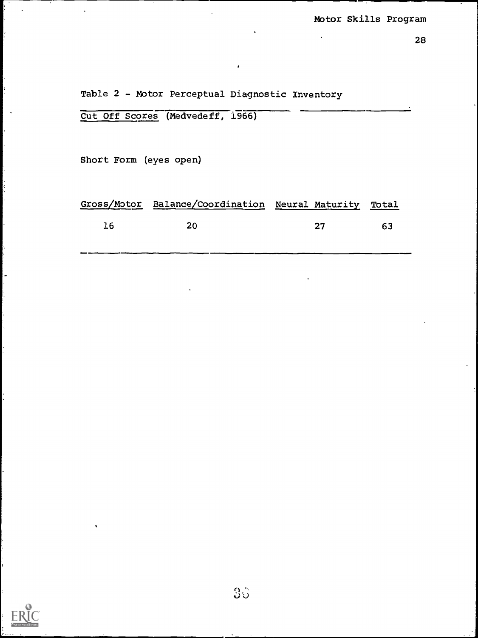Table 2 - Motor Perceptual Diagnostic Inventory

|  | Cut Off Scores (Medvedeff, 1966) |  |
|--|----------------------------------|--|

Short Form (eyes open)

|     | Gross/Motor Balance/Coordination Neural Maturity Total |    |     |  |
|-----|--------------------------------------------------------|----|-----|--|
| -16 | -20                                                    | フフ | -63 |  |
|     |                                                        |    |     |  |



þ.

ŀ.

 $\frac{1}{2}$ 

ķ,

Ļ,

 $35<sup>°</sup>$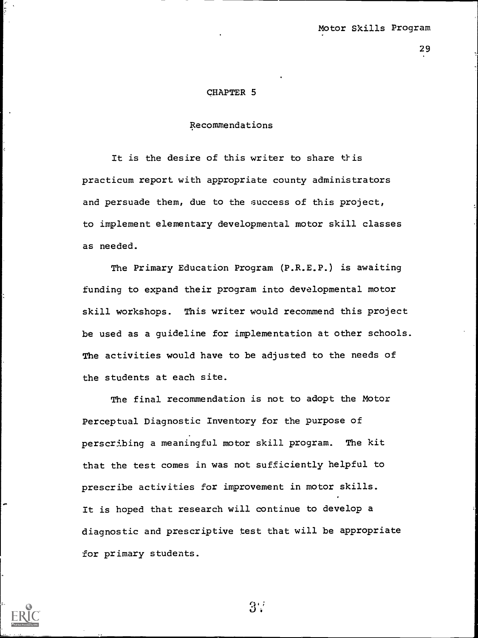#### CHAPTER 5

# Recommendations

It is the desire of this writer to share this practicum report with appropriate county administrators and persuade them, due to the success of this project, to implement elementary developmental motor skill classes as needed.

The Primary Education Program (P.R.E.P.) is awaiting funding to expand their program into developmental motor skill workshops. This writer would recommend this project be used as a guideline for implementation at other schools. The activities would have to be adjusted to the needs of the students at each site.

The final recommendation is not to adopt the Motor Perceptual Diagnostic Inventory for the purpose of perscribing a meaningful motor skill program. The kit that the test comes in was not sufficiently helpful to prescribe activities for improvement in motor skills. It is hoped that research will continue to develop a diagnostic and prescriptive test that will be appropriate for primary students.



 $3:$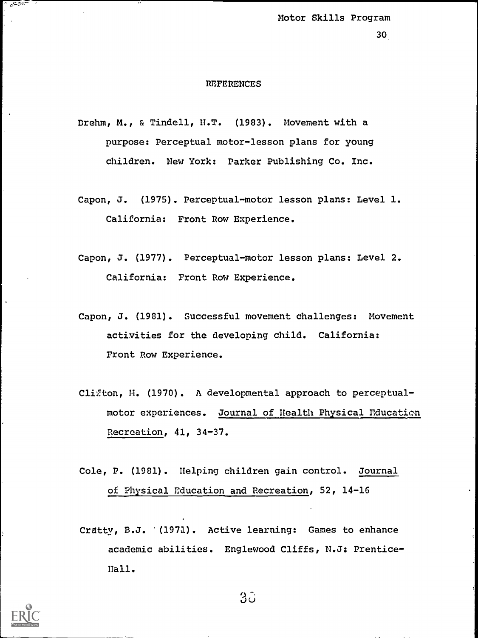30

#### REFERENCES

Brehm, M., & Tindell, N.T. (1983). Movement with a purpose: Perceptual motor-lesson plans for young children. New York: Parker Publishing Co. Inc.

- Capon, J. (1975). Perceptual-motor lesson plans: Level 1. California: Front Row Experience.
- Capon, J. (1977). Perceptual-motor lesson plans: Level 2. California: Front Row Experience.
- Capon, J. (1981). Successful movement challenges: Movement activities for the developing child. California: Front Row Experience.
- Clifton, M. (1970). A developmental approach to perceptualmotor experiences. Journal of Health Physical Education Recreation, 41, 34-37.
- Cole, P. (1981). Helping children gain control. Journal of Physical Education and Recreation, 52, 14-16
- Cratty, B.J. '(1971). Active learning: Games to enhance academic abilities. Englewood Cliffs, N.J: Prentice-Hall.



 $3\tilde{o}$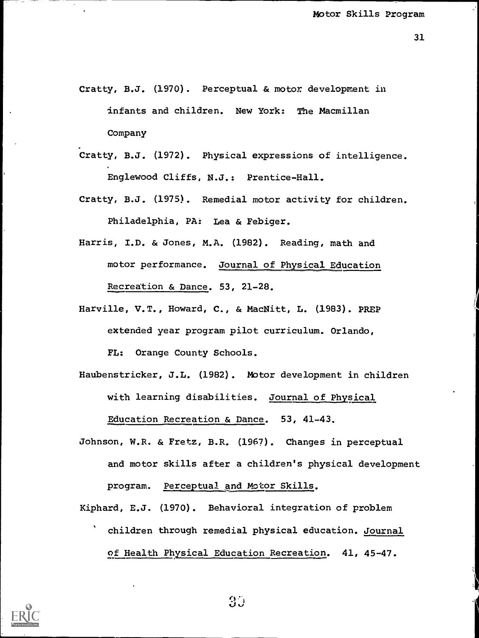- Cratty, B.J. (1970). Perceptual & motor development in infants and children. New York: The Macmillan Company
- Cratty, B.J. (1972). Physical expressions of intelligence. Englewood Cliffs, N.J.: Prentice-Hall.
- Cratty, B.J. (1975). Remedial motor activity for children. Philadelphia, PA: Lea & Febiger.
- Harris, I.D. & Jones, M.A. (1982). Reading, math and motor performance. Journal of Physical Education Recreation & Dance. 53, 21-28.
- Harville, V.T., Howard, C., & MacNitt, L. (1983). PREP extended year program pilot curriculum. Orlando, FL: Orange County Schools.
- Haubenstricker, J.L. (1982). Motor development in children with learning disabilities. Journal of Physical Education Recreation & Dance. 53, 41-43.
- Johnson, W.R. & Fretz, B.R. (1967). Changes in perceptual and motor skills after a children's physical development program. Perceptual and Motor Skills.
- Kiphard, E.J. (1970). Behavioral integration of problem children through remedial physical education. Journal of Health Physical Education Recreation. 41, 45-47.



 $3J$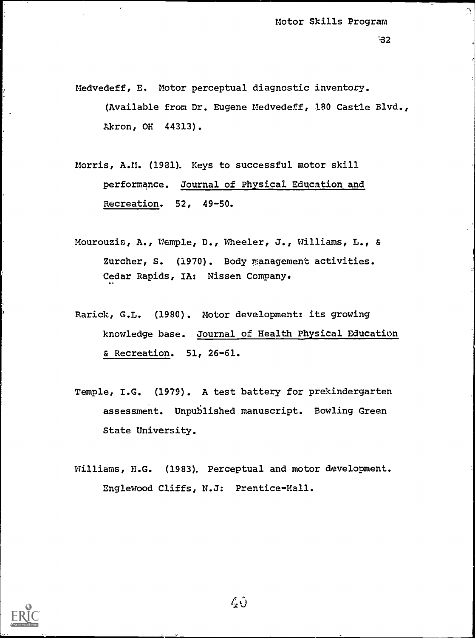$\Omega$ 

- Medvedeff, E. Motor perceptual diagnostic inventory. (Available from Dr. Eugene Medvedeff, 180 Castle Blvd., Akron, OH 44313).
- Morris, A.M. (1981). Keys to successful motor skill performance. Journal of Physical Education and Recreation. 52, 49-50.
- Mourouzis, A., Wemple, D., Wheeler, J., Williams, L., & Zurcher, S. (1970). Body management activities. Cedar Rapids, IA: Nissen Company.
- Rarick, G.L. (1980). Motor development: its growing knowledge base. Journal of Health Physical Education & Recreation. 51, 26-61.
- Temple, I.G. (1979). A test battery for prekindergarten assessment. Unpublished manuscript. Bowling Green State University.
- Williams, H.G. (1983). Perceptual and motor development. Englewood Cliffs, N.J: Prentice-Hall.

 $\mathcal{L} \hat{\mathbf{U}}$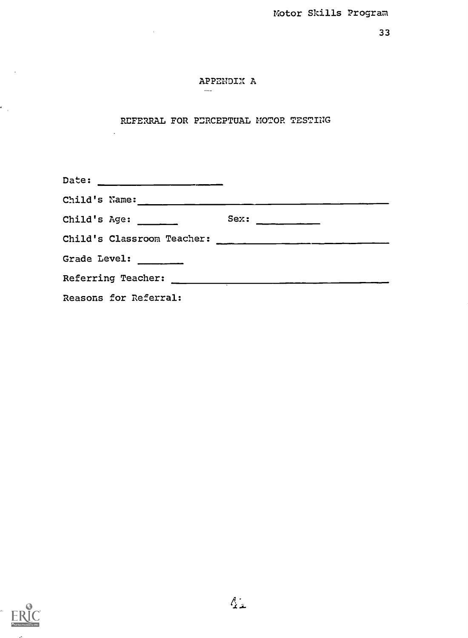# APPENDIX A

 $\frac{1}{2}$ 

 $\ddot{\phantom{a}}$ 

# REFERRAL FOR PERCEPTUAL MOTOR TESTING

| Child's Name: _______                                                                                                                                                                                                                                                                                                                                                                                                 |                 |  |  |  |  |  |
|-----------------------------------------------------------------------------------------------------------------------------------------------------------------------------------------------------------------------------------------------------------------------------------------------------------------------------------------------------------------------------------------------------------------------|-----------------|--|--|--|--|--|
| Child's Age: $\frac{1}{\sqrt{1-\frac{1}{\sqrt{1-\frac{1}{\sqrt{1-\frac{1}{\sqrt{1-\frac{1}{\sqrt{1-\frac{1}{\sqrt{1-\frac{1}{\sqrt{1-\frac{1}{\sqrt{1-\frac{1}{\sqrt{1-\frac{1}{\sqrt{1-\frac{1}{\sqrt{1-\frac{1}{\sqrt{1-\frac{1}{\sqrt{1-\frac{1}{\sqrt{1-\frac{1}{\sqrt{1-\frac{1}{\sqrt{1-\frac{1}{\sqrt{1-\frac{1}{\sqrt{1-\frac{1}{\sqrt{1-\frac{1}{\sqrt{1-\frac{1}{\sqrt{1-\frac{1}{\sqrt{1-\frac{1}{\sqrt{1$ | $Sex:$ ________ |  |  |  |  |  |
| Child's Classroom Teacher:                                                                                                                                                                                                                                                                                                                                                                                            |                 |  |  |  |  |  |
| Grade Level:                                                                                                                                                                                                                                                                                                                                                                                                          |                 |  |  |  |  |  |
| Referring Teacher:                                                                                                                                                                                                                                                                                                                                                                                                    |                 |  |  |  |  |  |
| Reasons for Referral:                                                                                                                                                                                                                                                                                                                                                                                                 |                 |  |  |  |  |  |



 $\epsilon_{\rm{max}}$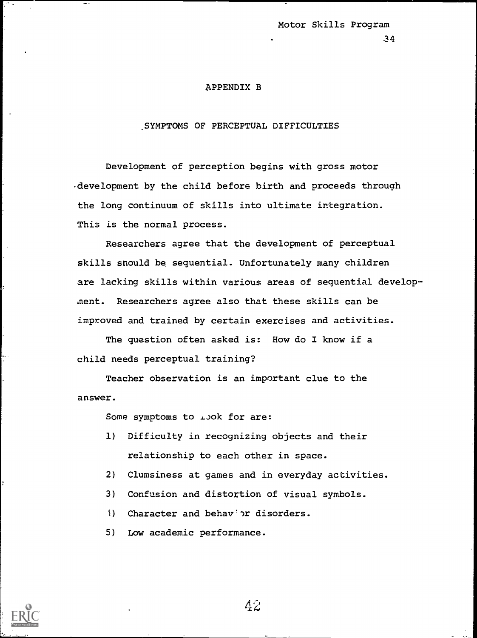## APPENDIX B

# ,SYMPTOMS OF PERCEPTUAL DIFFICULTIES

Development of perception begins with gross motor development by the child before birth and proceeds through the long continuum of skills into ultimate integration. This is the normal process.

Researchers agree that the development of perceptual skills snould be sequential. Unfortunately many children are lacking skills within various areas of sequential development. Researchers agree also that these skills can be improved and trained by certain exercises and activities.

The question often asked is: How do I know if a child needs perceptual training?

Teacher observation is an important clue to the answer.

Some symptoms to *i*,ook for are:

- 1) Difficulty in recognizing objects and their relationship to each other in space.
- 2) Clumsiness at games and in everyday activities.
- 3) Confusion and distortion of visual symbols.
- 4) Character and behav's disorders.

5) Low academic performance.

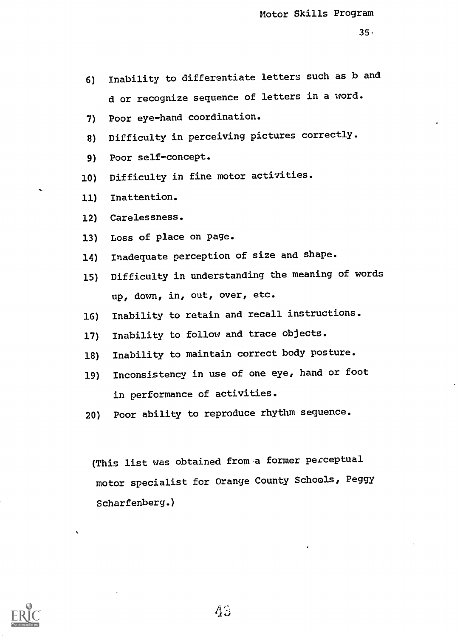- 6) Inability to differentiate letters such as b and d or recognize sequence of letters in a word.
- 7) Poor eye-hand coordination.
- 8) Difficulty in perceiving pictures correctly.
- 9) Poor self-concept.
- 10) Difficulty in fine motor activities.
- 11) Inattention.
- 12) Carelessness.
- 13) Loss of place on page.
- 14) Inadequate perception of size and shape.
- 15) Difficulty in understanding the meaning of words up, down, in, out, over, etc.
- 16) Inability to retain and recall instructions.
- 17) Inability to follow and trace objects.
- 18) Inability to maintain correct body posture.
- 19) Inconsistency in use of one eye, hand or foot in performance of activities.
- 20) Poor ability to reproduce rhythm sequence.

(This list was obtained from a former perceptual motor specialist for Orange County Schools, Peggy Scharfenberg.)

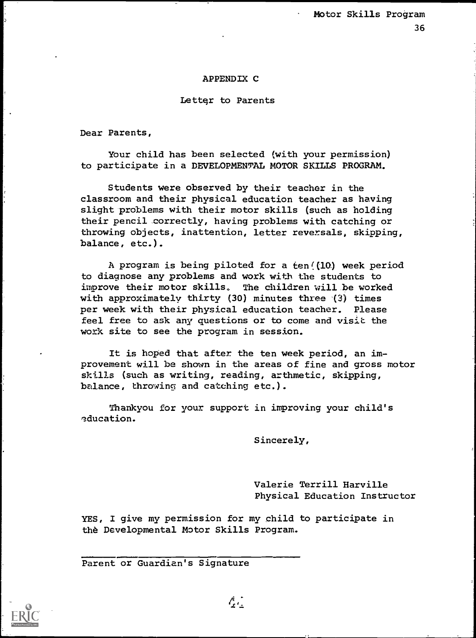## APPENDIX C

#### Lettqr to Parents

Dear Parents,

Your child has been selected (with your permission) to participate in a DEVELOPMENTAL MOTOR SKILLS PROGRAM.

Students were observed by their teacher in the classroom and their physical education teacher as having slight problems with their motor skills (such as holding their pencil correctly, having problems with catching or throwing objects, inattention, letter reversals, skipping, balance, etc.).

A program is being piloted for a  $ten/(10)$  week period to diagnose any problems and work with the students to improve their motor skills. The children will be worked with approximately thirty (30) minutes three (3) times per week with their physical education teacher. Please feel free to ask any questions or to come and visit the work site to see the program in session.

It is hoped that after the ten week period, an improvement will be shown in the areas of fine and gross motor skills (such as writing, reading, arthmetic, skipping, balance, throwing and catching etc.).

Thankyou for your support in improving your child's education.

Sincerely,

Valerie Terrill Harville Physical Education Instructor

YES, I give my permission for my child to participate in the Developmental Motor Skills Program.

Parent or Guardian's Signature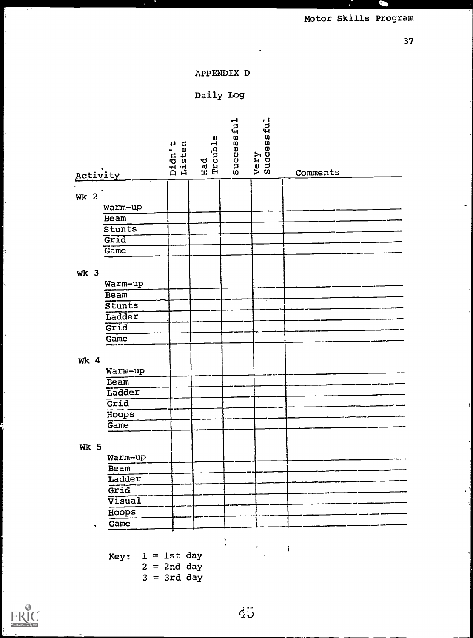

37

# APPENDIX D

# Daily Log

| Activity                   | Didn't<br>Listen | Had<br>Trouble | Successful | Very<br>Successful | Comments            |
|----------------------------|------------------|----------------|------------|--------------------|---------------------|
|                            |                  |                |            |                    |                     |
| <b>Wk 2</b>                |                  |                |            |                    |                     |
| Warm-up                    |                  |                |            |                    |                     |
| Beam                       |                  |                |            |                    |                     |
| Stunts                     |                  |                |            |                    |                     |
| Grid                       |                  |                |            |                    |                     |
| Game                       |                  |                |            |                    |                     |
|                            |                  |                |            |                    |                     |
| Wk <sub>3</sub>            |                  |                |            |                    |                     |
| Warm-up                    |                  |                |            |                    |                     |
| Beam                       |                  |                |            |                    |                     |
| $\overline{\text{stunts}}$ |                  |                |            |                    |                     |
| Ladder                     |                  |                |            |                    |                     |
| Grid                       |                  |                |            |                    |                     |
| Game                       |                  |                |            |                    |                     |
|                            |                  |                |            |                    |                     |
| <b>Wk 4</b>                |                  |                |            |                    |                     |
| Warm-up                    |                  |                |            |                    |                     |
| Beam                       |                  |                |            |                    |                     |
| Ladder                     |                  |                |            |                    |                     |
| Grid                       |                  |                |            |                    |                     |
| Hoops                      |                  |                |            |                    |                     |
| Game                       |                  |                |            |                    |                     |
|                            |                  |                |            |                    |                     |
| <b>Wk 5</b>                |                  |                |            |                    |                     |
| Warm-up                    |                  |                |            |                    |                     |
| Beam                       |                  |                |            |                    |                     |
| Ladder                     |                  |                |            |                    |                     |
| $\overline{\text{Grid}}$   |                  |                |            |                    |                     |
| Visual                     |                  |                |            |                    |                     |
| Hoops                      |                  |                |            |                    |                     |
| Game                       |                  |                |            |                    |                     |
|                            |                  |                |            |                    |                     |
|                            |                  |                |            |                    | $\ddot{\textbf{j}}$ |
| Key: $1 = 1$ st day        |                  |                |            |                    |                     |

 $2 = 2nd$  day  $3 = 3rd$  day



k.

 $\overline{\cdot}$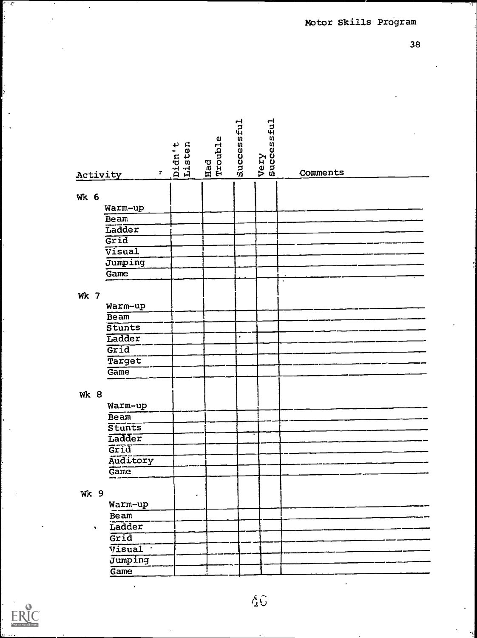38

| ÷.<br>Activity           | Didn't<br>Listen | Had<br>Trouble | Successful | Very<br>Successful | Comments |
|--------------------------|------------------|----------------|------------|--------------------|----------|
|                          |                  |                |            |                    |          |
| <b>Wk 6</b>              |                  |                |            |                    |          |
| Warm-up                  |                  |                |            |                    |          |
| Beam                     |                  |                |            |                    |          |
| Ladder                   |                  |                |            |                    |          |
| $\overline{\text{Grid}}$ |                  |                |            |                    |          |
| Visual                   |                  |                |            |                    |          |
| Jumping                  |                  |                |            |                    |          |
| Game                     |                  |                |            |                    | ×        |
|                          |                  |                |            |                    |          |
| <b>Wk 7</b>              |                  |                |            |                    |          |
| Warm-up                  |                  |                |            |                    |          |
| Beam                     |                  |                |            |                    |          |
| Stunts                   |                  |                |            |                    |          |
| Ladder                   |                  |                | ٠          |                    |          |
| Grid                     |                  |                |            |                    |          |
| Target                   |                  |                |            |                    |          |
| Game                     |                  |                |            |                    |          |
| <b>Wk 8</b><br>Warm-up   |                  |                |            |                    |          |
| Beam                     |                  |                |            |                    |          |
| Stunts                   |                  |                |            |                    |          |
| Ladder                   |                  |                |            |                    |          |
| Grid                     |                  |                |            |                    |          |
| Auditory                 |                  |                |            |                    |          |
| Game                     |                  |                |            |                    |          |
|                          |                  |                |            |                    |          |
| <b>Wk 9</b><br>Warm-up   |                  |                |            |                    |          |
| Beam                     |                  |                |            |                    |          |
| Ladder<br>۰              |                  |                |            |                    |          |
| Grid                     |                  |                |            |                    |          |
| $\sqrt{1}$ sual          |                  |                |            |                    |          |
| Jumping                  |                  |                |            |                    |          |
| Game                     |                  |                |            |                    |          |
|                          |                  |                |            |                    |          |



 $\overline{\zeta}$ 

 $\mathsf{L}$ 

 $\ddot{\phantom{a}}$ 

 $\ell$  6.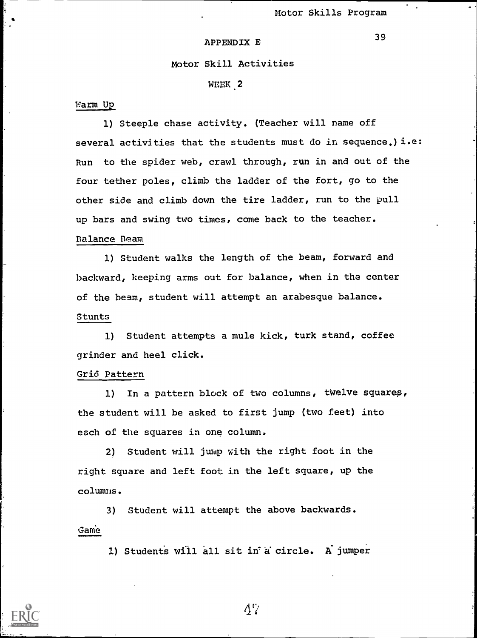#### APPENDIX E

## Motor Skill Activities

WEEK 2

#### Warm Up

1) Steeple chase activity. (Teacher will name off several activities that the students must do in sequence.) i.e: Run to the spider web, crawl through, run in and out of the four tether poles, climb the ladder of the fort, go to the other side and climb down the tire ladder, run to the pull up bars and swing two times, come back to the teacher.

# Balance Beam

1) Student walks the length of the beam, forward and backward, keeping arms out for balance, when in the center of the beam, student will attempt an arabesque balance. Stunts

1) Student attempts a mule kick, turk stand, coffee grinder and heel click.

## Grid Pattern

1) In a pattern block of two columns, twelve squares, the student will be asked to first jump (two feet) into each of the squares in one column.

2) Student will jump with the right foot in the right square and left foot in the left square, up the columns.

3) Student will attempt the above backwards. Game

1) Students will all sit in a circle. A jumper

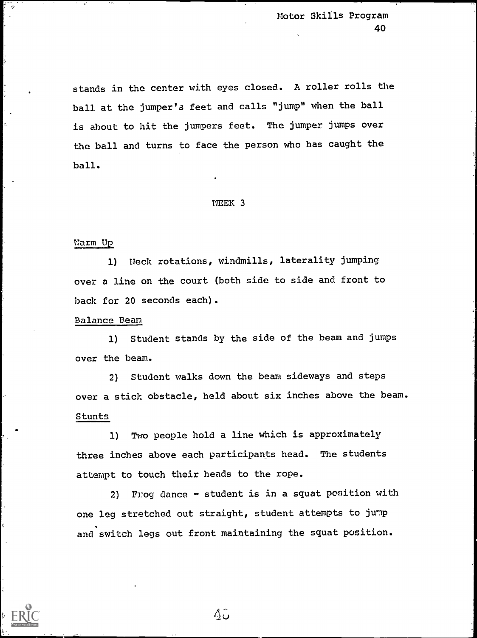stands in the center with eyes closed. A roller rolls the ball at the jumper's feet and calls "jump" when the ball is about to hit the jumpers feet. The jumper jumps over the ball and turns to face the person who has caught the ball.

## WEEK 3

# warm up<br>Warm up

1) Neck rotations, windmills, laterality jumping over a line on the court (both side to side and front to back for 20 seconds each).

## Balance Bean

1) Student stands by the side of the beam and jumps over the beam.

2) Student walks down the beam sideways and steps over a stick obstacle, held about six inches above the beam. Stunts

1) Two people hold a line which is approximately three inches above each participants head. The students attempt to touch their heads to the rope.

2) Frog dance - student is in a squat position with one leg stretched out straight, student attempts to jump and switch legs out front maintaining the squat position.

 $\Delta \hat{\omega}$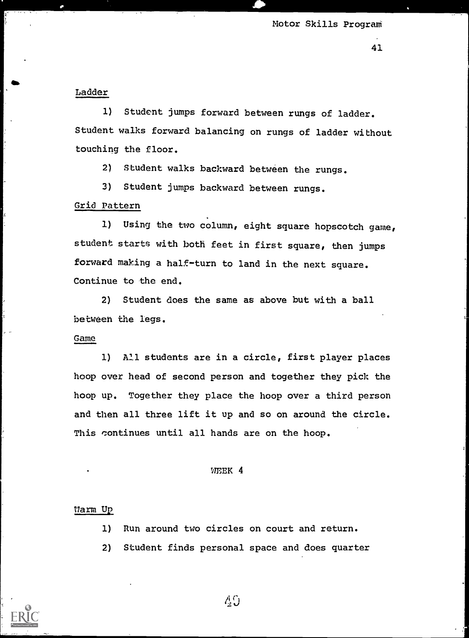41

Ladder

1) Student jumps forward between rungs of ladder. Student walks forward balancing on rungs of ladder without touching the floor.

2) Student walks backward between the rungs.

3) Student jumps backward between rungs.

## Grid Pattern

1) Using the two column, eight square hopscotch game, student starts with both feet in first square, then jumps forward making a half-turn to land in the next square. Continue to the end.

2) Student does the same as above but with a ball between the legs.

#### Game

1) All students are in a circle, first player places hoop over head of second person and together they pick the hoop up. Together they place the hoop over a third person and then all three lift it up and so on around the circle. This continues until all hands are on the hoop.

#### WEEK 4

#### Warm Up

1) Run around two circles on court and return.

2) Student finds personal space and does quarter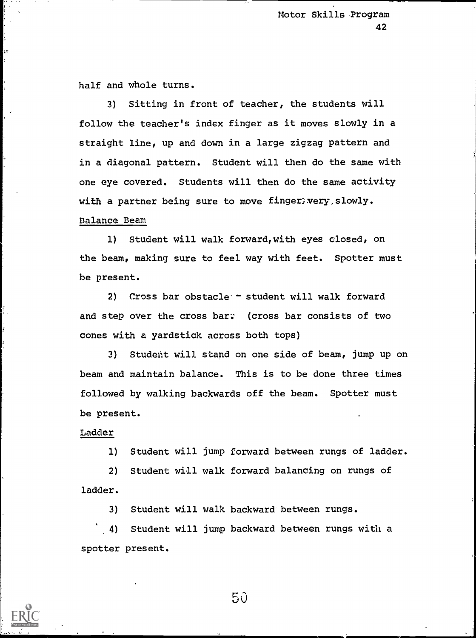half and whole turns.

3) Sitting in front of teacher, the students will follow the teacher's index finger as it moves slowly in a straight line, up and down in a large zigzag pattern and in a diagonal pattern. Student will then do the same with one eye covered. Students will then do the same activity with a partner being sure to move finger; very, slowly.

# Balance Beam

1) Student will walk forward,with eyes closed, on the beam, making sure to feel way with feet. Spotter must he present.

2) Cross bar obstacle- student will walk forward and step over the cross bar: (cross bar consists of two cones with a yardstick across both tops)

3) Student will stand on one side of beam, jump up on beam and maintain balance. This is to be done three times followed by walking backwards off the beam. Spotter must be present.

## Ladder

1) Student will jump forward between rungs of ladder.

2) Student will walk forward balancing on rungs of ladder.

3) Student will walk backward between rungs.

4) Student will jump backward between rungs with a spotter present.

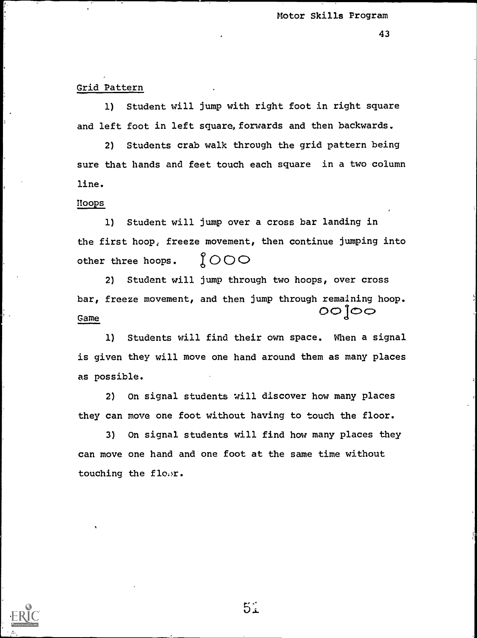#### Grid Pattern

1) Student will jump with right foot in right square and left foot in left square, forwards and then backwards.

2) Students crab walk through the grid pattern being sure that hands and feet touch each square in a two column line.

#### Hoops

1) Student will jump over a cross bar landing in the first hoop, freeze movement, then continue jumping into other three hoops.  $1000$ 

2) Student will jump through two hoops, over cross bar, freeze movement, and then jump through remaining hoop.  $000$ Game

1) Students will find their own space. When a signal is given they will move one hand around them as many places as possib le.

2) On signal students will discover how many places they can move one foot without having to touch the floor.

3) On signal students will find how many places they can move one hand and one foot at the same time without touching the flow.

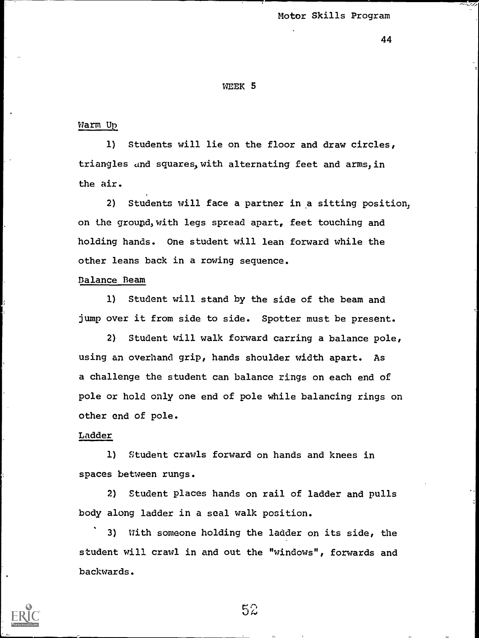44

#### WEEK 5

#### Warm U

1) Students will lie on the floor and draw circles, triangles and squares, with alternating feet and arms, in the air.

2) Students will face a partner in a sitting position, on the ground, with legs spread apart, feet touching and holding hands. One student will lean forward while the other leans back in a rowing sequence.

# Balance Beam

1) Student will stand by the side of the beam and jump over it from side to side. Spotter must be present.

2) Student will walk forward carring a balance pole, using an overhand grip, hands shoulder width apart. As a challenge the student can balance rings on each end of pole or hold only one end of pole while balancing rings on other end of pole.

# Ladder

1) Student crawls forward on hands and knees in spaces between rungs.

2) Student places hands on rail of ladder and pulls body along ladder in a seal walk position.

3) With someone holding the ladder on its side, the student will crawl in and out the "windows", forwards and backwards.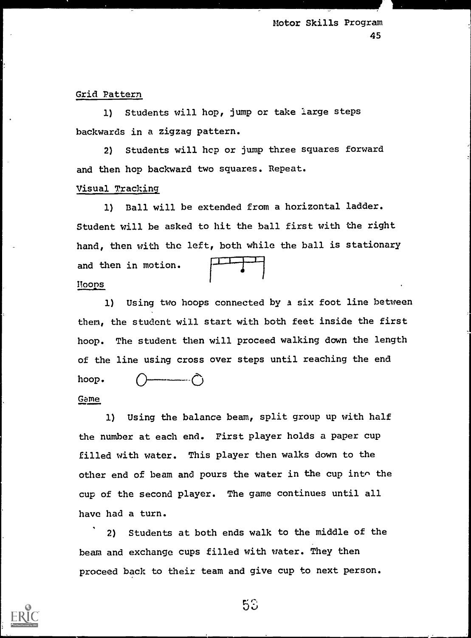Grid Pattern

1) Students will hop, jump or take large steps backwards in a zigzag pattern.

2) Students will hcp or jump three squares forward and then hop backward two squares. Repeat.

# Visual Tracking

1) Ball will be extended from a horizontal ladder. Student will be asked to hit the ball first with the right hand, then with the left, both while the ball is stationary and then in motion. Rooms

1) Using two hoops connected by a six foot line between them, the student will start with both feet inside the first hoop. The student then will proceed walking down the length of the line using cross over steps until reaching the end hoop. 0 0

# Game

1) Using the balance beam, split group up with half the number at each end. First player holds a paper cup filled with water. This player then walks down to the other end of beam and pours the water in the cup into the cup of the second player. The game continues until all have had a turn.

2) Students at both ends walk to the middle of the beam and exchange cups filled with water. They then proceed back to their team and give cup to next person.

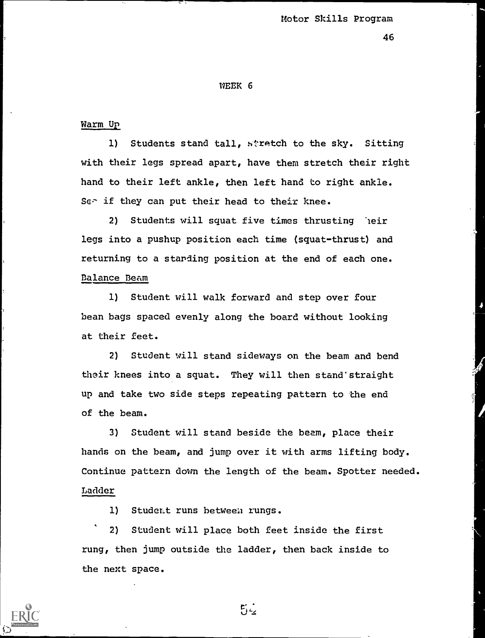46

#### WEEK 6

#### Warm Up

1) Students stand tall, stretch to the sky. Sitting with their legs spread apart, have them stretch their right hand to their left ankle, then left hand to right ankle. Ser if they can put their head to their knee.

2) Students will squat five times thrusting heir legs into a pushup position each time (squat-thrust) and returning to a standing position at the end of each one. Balance Beam

1) Student will walk forward and step over four bean bags spaced evenly along the board without looking at their feet.

2) Student will stand sideways on the beam and bend their knees into a squat. They will then stand'straight up and take two side steps repeating pattern to the end of the beam.

3) Student will stand beside the beam, place their hands on the beam, and jump over it with arms lifting body. Continue pattern down the length of the beam. Spotter needed. Ladder

1) Student runs between rungs.

2) Student will place both feet inside the first rung, then jump outside the ladder, then back inside to the next space.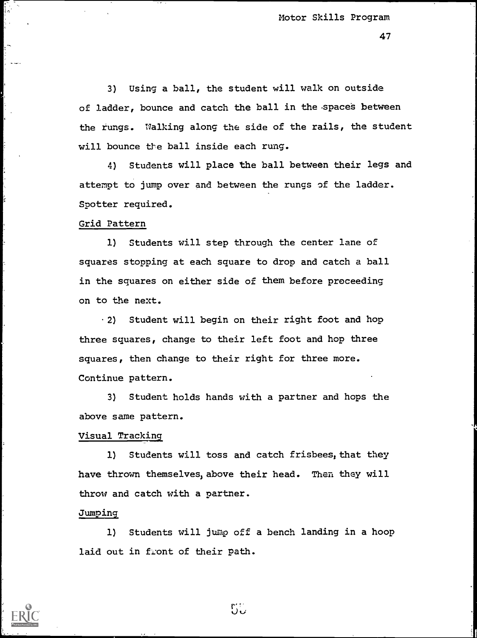47

3) Using a ball, the student will walk on outside of ladder, bounce and catch the ball in the spaces between the rungs. Walking along the side of the rails, the student will bounce the ball inside each rung.

4) Students will place the ball between their legs and attempt to jump over and between the rungs of the ladder. Spotter required.

## Grid Pattern

1) Students will step through the center lane of squares stopping at each square to drop and catch a ball in the squares on either side of them before proceeding on to the next.

2) Student will begin on their right foot and hop three squares, change to their left foot and hop three squares, then change to their right for three more. Continue pattern.

3) Student holds hands with a partner and hops the above same pattern.

#### Visual Tracking

1) Students will toss and catch frisbees, that they have thrown themselves, above their head. Then they will throw and catch with a partner.

#### Jumping

1) Students will jump off a bench landing in a hoop laid out in front of their path.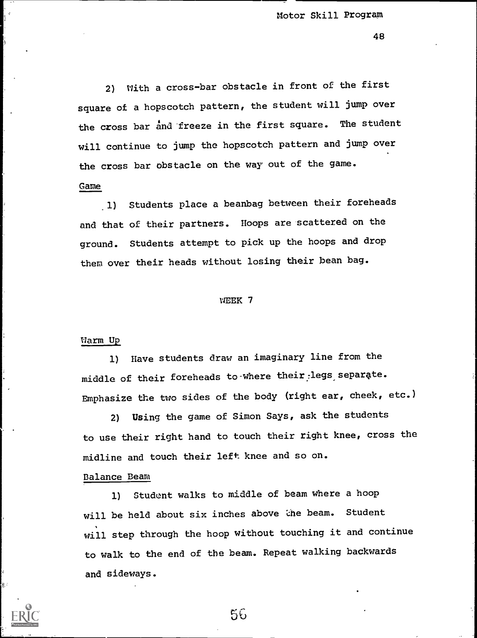48

2) With a cross-bar obstacle in front of the first square of a hopscotch pattern, the student will jump over the cross bar and freeze in the first square. The student will continue to jump the hopscotch pattern and jump over the cross bar obstacle on the way out of the game. Came

1) Students place a beanbag between their foreheads and that of their partners. Hoops are scattered on the ground. Students attempt to pick up the hoops and drop them over their heads without losing their bean bag.

#### WEEK 7

#### Warm Up

1) Have students draw an imaginary line from the middle of their foreheads to where their legs separate. Emphasize the two sides of the body (right ear, cheek, etc.)

2) Using the game of Simon Says, ask the students to use their right hand to touch their right knee, cross the midline and touch their left knee and so on.

# Balance Beam

1) Student walks to middle of beam where a hoop will be held about six inches above the beam. Student will step through the hoop without touching it and continue to walk to the end of the beam. Repeat walking backwards and sideways.

5G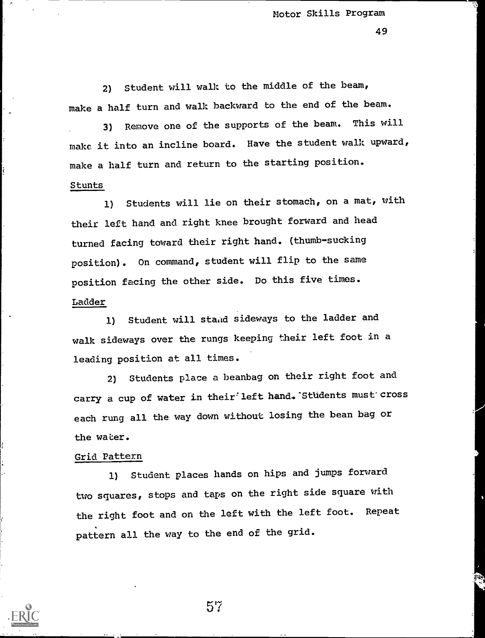49

2) Student will walk to the middle of the beam, make a half turn and walk backward to the end of the beam.

3) Remove one of the supports of the beam. This will make it into an incline board. Have the student walk upward, make a half turn and return to the starting position. Stunts

1) Students will lie on their stomach, on a mat, with their left hand and right knee brought forward and head turned facing toward their right hand. (thumb-sucking position). On command, student will flip to the same position facing the other side. Do this five times. Ladder

1) Student will stand sideways to the ladder and walk sideways over the rungs keeping their left foot in a leading position at all times.

2) Students place a beanbag on their right foot and carry a cup of water in their' left hand. 'Students must' cross each rung all the way down without losing the bean bag or the water.

# Grid Pattern

1) Student places hands on hips and jumps forward two squares, stops and taps on the right side square with the right foot and on the left with the left foot. Repeat pattern all the way to the end of the grid.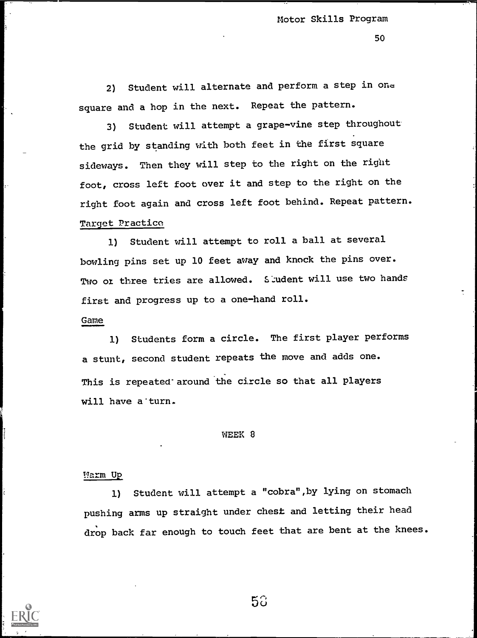50

2) Student will alternate and perform a step in one square and a hop in the next. Repeat the pattern.

3) Student will attempt a grape-vine step throughout the grid by standing with both feet in the first square sideways. Then they will step to the right on the right foot, cross left foot over it and step to the right on the right foot again and cross left foot behind. Repeat pattern. Target Practice

1) Student will attempt to roll a ball at several bowling pins set up 10 feet away and knock the pins over. Two or three tries are allowed. Sludent will use two hands first and progress up to a one-hand roll.

#### Game

1) Students form a circle. The first player performs a stunt, second student repeats the move and adds one. This is repeated' around the circle so that all players will have a'turn.

#### WEEK 8

#### !!arm Up

1) Student will attempt a "cobra",by lying on stomach pushing arms up straight under chest and letting their head drop back far enough to touch feet that are bent at the knees.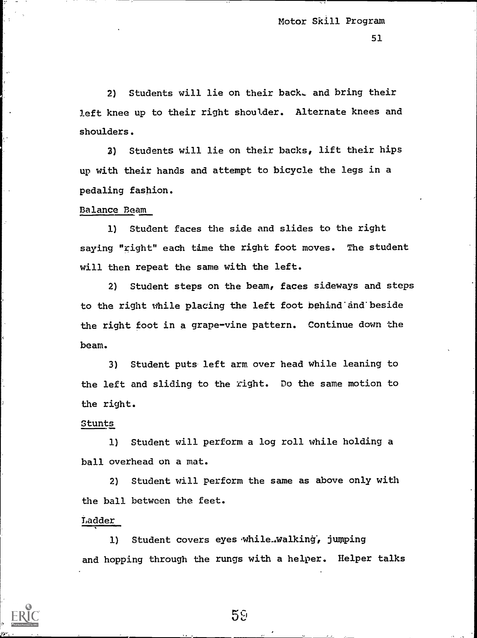2) Students will lie on their back, and bring their left knee up to their right shoulder. Alternate knees and shoulders.

3) Students will lie on their backs, lift their hips up with their hands and attempt to bicycle the legs in a pedaling fashion.

# Balance Beam

1) Student faces the side and slides to the right saying "right" each time the right foot moves. The student will then repeat the same with the left.

2) Student steps on the beam, faces sideways and steps to the right while placing the left foot behind'and'beside the right foot in a grape-vine pattern. Continue down the beam.

3) Student puts left arm over head while leaning to the left and sliding to the right. Do the same motion to the right.

## Stunts

1) Student will perform a log roll while holding a ball overhead on a mat.

2) Student will perform the same as above only with the ball between the feet.

# Ladder

1) Student covers eyes while..walking, jumping and hopping through the rungs with a helper. Helper talks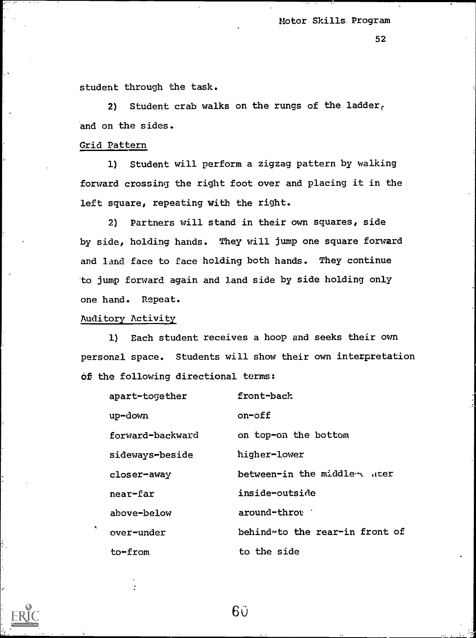52

student through the task.

2) Student crab walks on the rungs of the ladder, and on the sides.

## Grid Pattern

1) Student will perform a zigzag pattern by walking forward crossing the right foot over and placing it in the left square, repeating with the right.

2) Partners will stand in their own squares, side by side, holding hands. They will jump one square forward and land face to face holding both hands. They continue to jump forward again and land side by side holding only one hand. Repeat.

# Auditory Activity

1) Each student receives a hoop and seeks their own personal space. Students will show their own interpretation of the following directional terms:

| apart-together   | front-back                     |
|------------------|--------------------------------|
| up-down          | on-off                         |
| forward-backward | on top-on the bottom           |
| sideways-beside  | higher-lower                   |
| closer-away      | between-in the middler uter    |
| near-far         | inside-outside                 |
| above-below      | around-throu                   |
| over-under       | behindeto the rear-in front of |
| to-from          | to the side                    |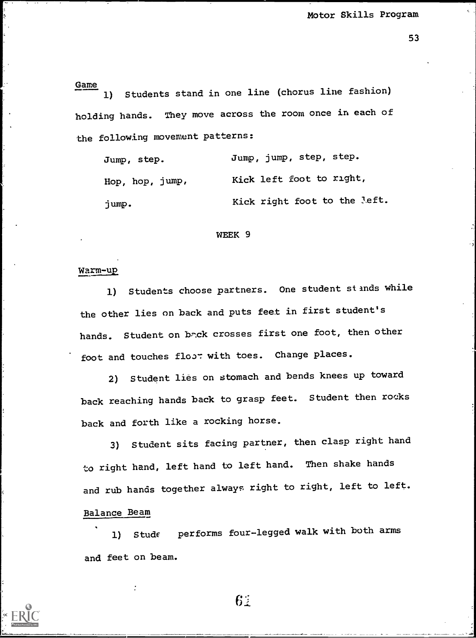Game 1) Students stand in one line (chorus line fashion) holding hands. They move across the room once in each of the following movement patterns:

| Jump, step.     | Jump, jump, step, step.      |
|-----------------|------------------------------|
| Hop, hop, jump, | Kick left foot to right,     |
| jump.           | Kick right foot to the left. |

#### WEEK 9

#### Warm-up

1) Students choose partners. One student stands while the other lies on back and puts feet in first student's hands. Student on br.ck crosses first one foot, then other foot and touches floor with toes. Change places.

2) Student lies on stomach and bends knees up toward back reaching hands back to grasp feet. Student then rocks back and forth like a rocking horse.

3) Student sits facing partner, then clasp right hand to right hand, left hand to left hand. Then shake hands and rub hands together always right to right, left to left. Balance Beam

1) Stude performs four-legged walk with both arms and feet on beam.

 $6:$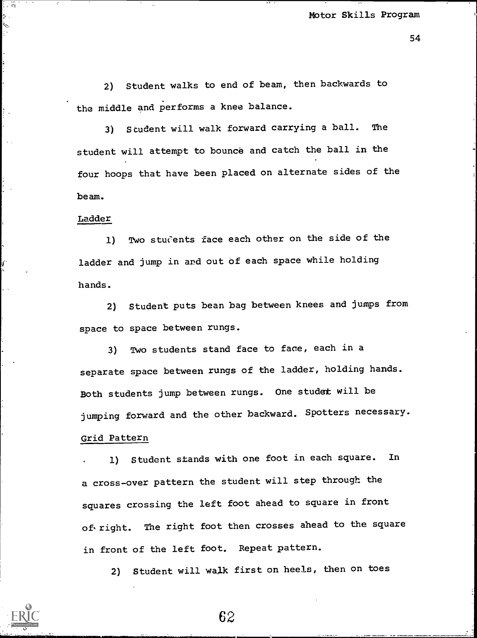2) Student walks to end of beam, then backwards to the middle and performs a knee balance.

3) Student will walk forward carrying a ball. The student will attempt to bounce and catch the ball in the four hoops that have been placed on alternate sides of the beam.

## Ladder

1) Two students face each other on the side of the ladder and jump in and out of each space while holding hands.

2) Student puts bean bag between knees and jumps from space to space between rungs.

3) Two students stand face to face, each in a separate space between rungs of the ladder, holding hands. Both students jump between rungs. One studat will be jumping forward and the other backward. Spotters necessary. Grid Pattern

1) Student stands with one foot in each square. In a cross-over pattern the student will step through the squares crossing the left foot ahead to square in front of right. The right foot then crosses ahead to the square in front of the left foot. Repeat pattern.

2) Student will walk first on heels, then on toes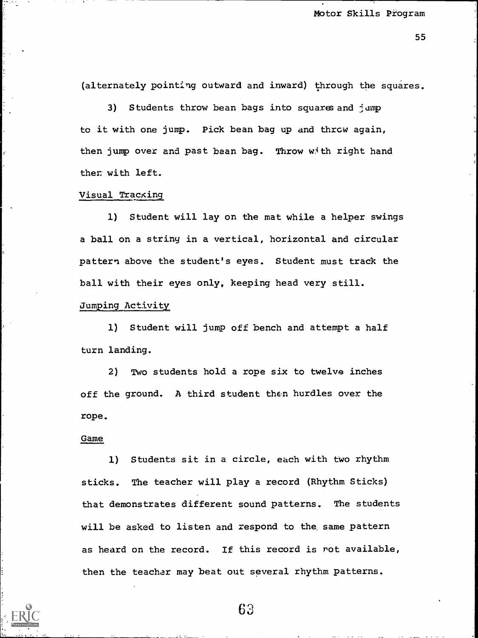(alternately pointing outward and inward) through the squares.

3) Students throw bean bags into squares and jump to it with one jump. Pick bean bag up and throw again, then jump over and past bean bag. Throw with right hand then with left.

# Visual Tracking

1) Student will lay on the mat while a helper swings a ball on a string in a vertical, horizontal and circular pattern above the student's eyes. Student must track the ball with their eyes only, keeping head very still.

Jumping Activity

1) Student will jump off bench and attempt a half turn landing.

2) Two students hold a rope six to twelve inches off the ground. A third student then hurdles over the rope.

#### Game

1) Students sit in a circle, each with two rhythm sticks. The teacher will play a record (Rhythm Sticks) that demonstrates different sound patterns. The students will be asked to listen and respond to the same pattern as heard on the record. If this record is rot available, then the teacher may beat out several rhythm patterns.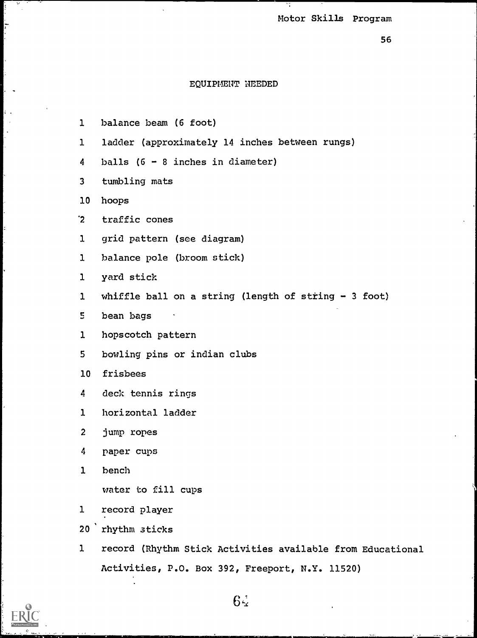Ť,

# EQUIPMENT NEEDED

ţ.

 $\frac{1}{2}$ 

ç, ÷

Ŀ.

L.

| $\mathbf{1}$    | balance beam (6 foot)                                      |
|-----------------|------------------------------------------------------------|
| $\mathbf{1}$    | ladder (approximately 14 inches between rungs)             |
| 4               | balls $(6 - 8$ inches in diameter)                         |
| $\mathbf{3}$    | tumbling mats                                              |
| 10 <sub>1</sub> | hoops                                                      |
| $2^{\circ}$     | traffic cones                                              |
| $\mathbf{1}$    | grid pattern (see diagram)                                 |
| $\mathbf{1}$    | balance pole (broom stick)                                 |
| ı               | yard stick                                                 |
| 1               | whiffle ball on a string (length of string - 3 foot)       |
| 5               | bean bags                                                  |
| 1               | hopscotch pattern                                          |
| 5               | bowling pins or indian clubs                               |
| 10 <sub>1</sub> | frisbees                                                   |
| 4               | deck tennis rings                                          |
| 1               | horizontal ladder                                          |
| $\overline{c}$  | jump ropes                                                 |
| 4               | paper cups                                                 |
| 1               | bench                                                      |
|                 | water to fill cups                                         |
| 1               | record player                                              |
| 20 <sub>2</sub> | rhythm sticks                                              |
| $\mathbf{1}$    | record (Rhythm Stick Activities available from Educational |

Activities, P.O. Box 392, Freeport, N.Y. 11520)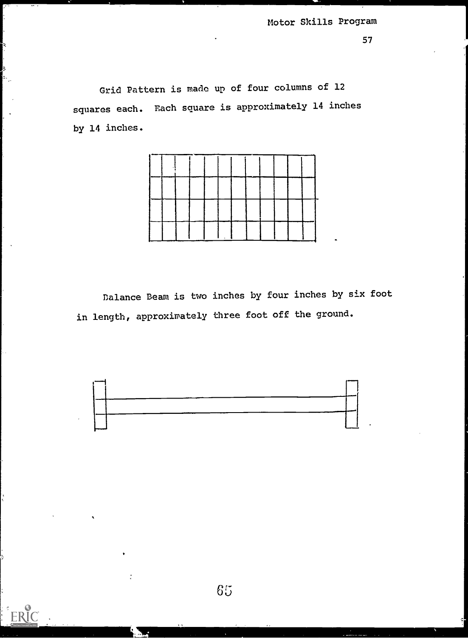Grid Pattern is made up of four columns of 12 squares each. Each square is approximately 14 inches by 14 inches.

 $\mathbb{R}$ 

ķ  $\mathbf{A}$ 

ERIC



Balance Beam is two inches by four inches by six foot in length, approximately three foot off the ground.

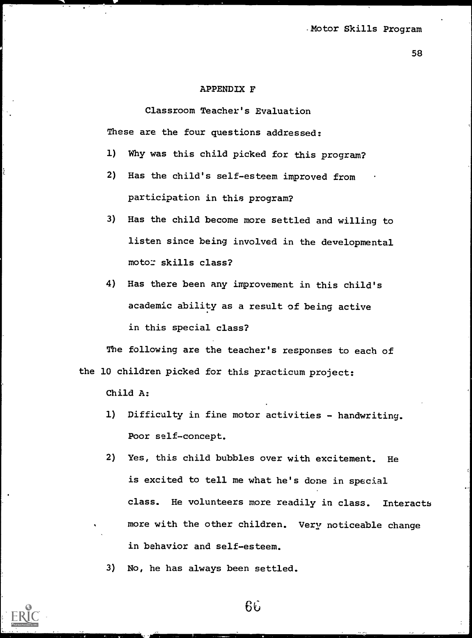#### APPENDIX F

Classroom Teacher's Evaluation These are the four questions addressed:

- 1) Why was this child picked for this program?
- 2) Has the child's self-esteem improved from participation in this program?
- 3) Has the child become more settled and willing to listen since being involved in the developmental moto: skills class?
- 4) Has there been any improvement in this child's academic ability as a result of being active in this special class?

The following are the teacher's responses to each of the 10 children picked for this practicum project:

Child A:

- 1) Difficulty in fine motor activities handwriting. Poor self-concept.
- 2) Yes, this child bubbles over with excitement. He is excited to tell me what he's done in special class. He volunteers more readily in class. Interacts more with the other children. Very noticeable change in behavior and self-esteem.

3) No, he has always been settled.

 $66$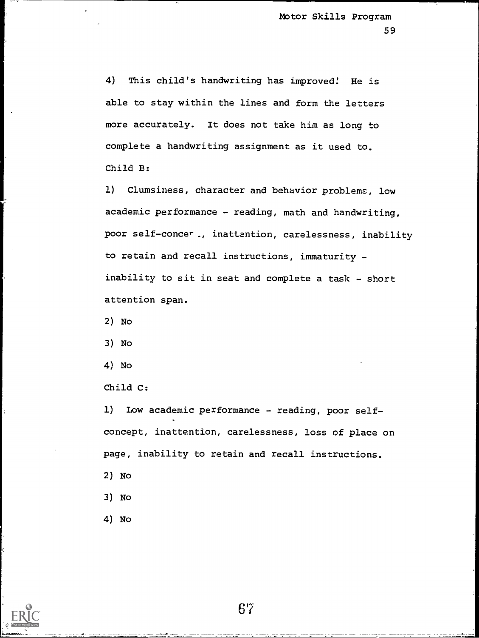4) This child's handwriting has improved! He is able to stay within the lines and form the letters more accurately. It does not take him as long to complete a handwriting assignment as it used to. Child B:

1) Clumsiness, character and behavior problems, low academic performance - reading, math and handwriting, poor self-concer, inattention, carelessness, inability to retain and recall instructions, immaturity inability to sit in seat and complete a task - short attention span.

2) No

3) No

4) No

Child C:

1) Low academic performance - reading, poor selfconcept, inattention, carelessness, loss of place on page, inability to retain and recall instructions.

2) No

3) No

4) No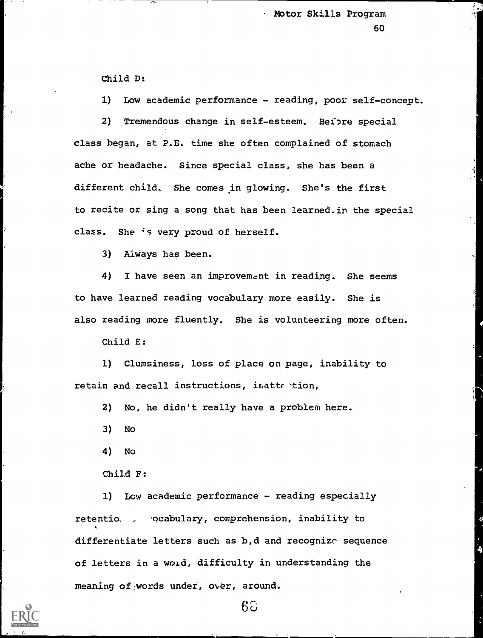Child D:

1) Low academic performance - reading, poor self-concept.

2) Tremendous change in self-esteem. Beibre special class began, at P.E. time she often complained of stomach ache or headache. Since special class, she has been a different child. She comes in glowing. She's the first to recite or sing a song that has been learned.in the special class. She 's very proud of herself.

3) Always has been.

4) I have seen an improvement in reading. She seems to have learned reading vocabulary more easily. She is also reading more fluently. She is volunteering more often.

Child E:

1) Clumsiness, loss of place on page, inability to retain and recall instructions, inattention,

2) No, he didn't really have a problem here.

3) No

4) No

Child F:

1) Low academic performance - reading especially retentio. , ocabulary, comprehension, inability to differentiate letters such as b,d and recognize sequence of letters in a word, difficulty in understanding the meaning of:words under, over, around.

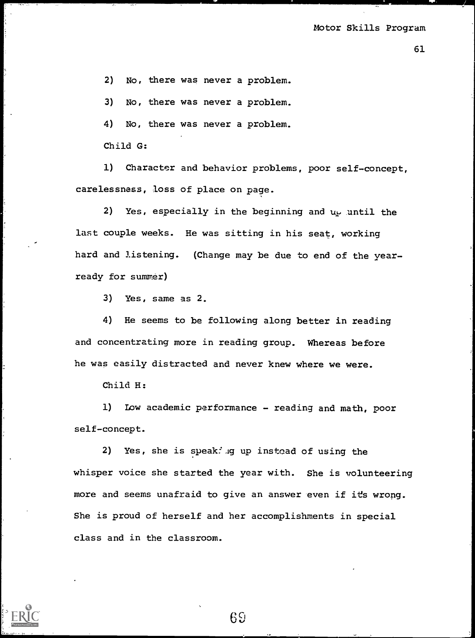2) No, there was never a problem.

3) No, there was never a problem.

4) No, there was never a problem.

Child G:

1) Character and behavior problems, poor self-concept, carelessness, loss of place on page.

2) Yes, especially in the beginning and  $u_{\mathbf{k}}$  until the last couple weeks. He was sitting in his seat, working hard and listening. (Change may be due to end of the yearready for summer)

3) Yes, same as 2.

4) He seems to be following along better in reading and concentrating more in reading group. Whereas before he was easily distracted and never knew where we were.

Child H:

1) Low academic performance - reading and math, poor self-concept.

2) Yes, she is speak:  $\log$  up instead of using the whisper voice she started the year with. She is volunteering more and seems unafraid to give an answer even if its wrong. She is proud of herself and her accomplishments in special class and in the classroom.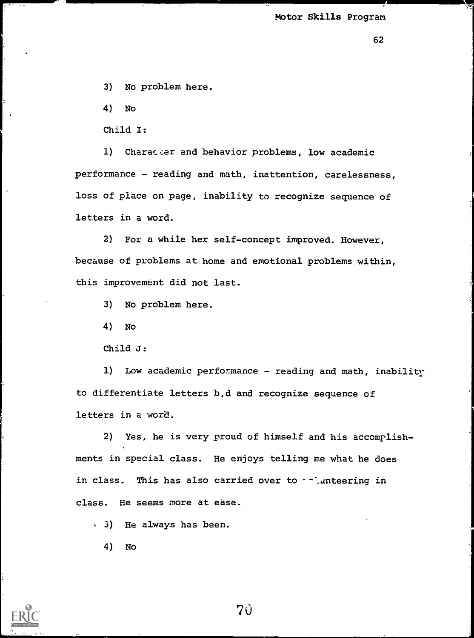3) No problem here.

4) No

Child I:

1) Charac er and behavior problems, low academic performance - reading and math, inattention, carelessness, loss of place on page, inability to recognize sequence of letters in a word.

2) For a while her self-concept improved. However, because of problems at home and emotional problems within, this improvement did not last.

3) No problem here.

4) No

Child. J:

1) Low academic performance - reading and math, inability to differentiate letters b,d and recognize sequence of letters in a word.

2) Yes, he is very proud of himself and his accomplishments in special class. He enjoys telling me what he does in class. This has also carried over to  $\cdot$ -'.anteering in class. He seems more at ease.

3) He always has been.

4) No